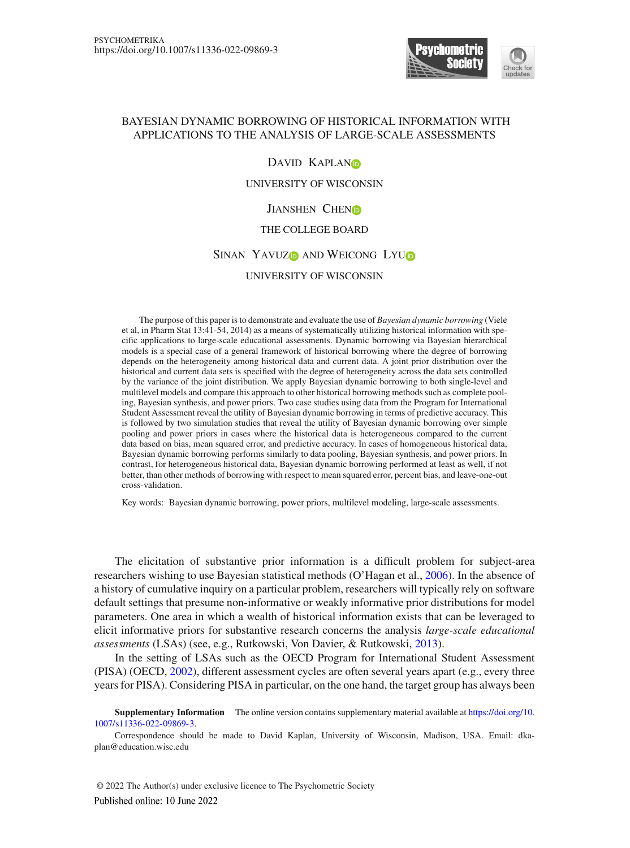

# BAYESIAN DYNAMIC BORROWING OF HISTORICAL INFORMATION WITH APPLICATIONS TO THE ANALYSIS OF LARGE-SCALE ASSESSMENTS

## DAVID KAPLAND

## UNIVERSITY OF WISCONSIN

## JIANSHEN CHENO

# THE COLLEGE BOARD

# SINAN YAVUZO AND WEICONG LYUO

#### UNIVERSITY OF WISCONSIN

The purpose of this paper is to demonstrate and evaluate the use of *Bayesian dynamic borrowing* (Viele et al, in Pharm Stat 13:41-54, 2014) as a means of systematically utilizing historical information with specific applications to large-scale educational assessments. Dynamic borrowing via Bayesian hierarchical models is a special case of a general framework of historical borrowing where the degree of borrowing depends on the heterogeneity among historical data and current data. A joint prior distribution over the historical and current data sets is specified with the degree of heterogeneity across the data sets controlled by the variance of the joint distribution. We apply Bayesian dynamic borrowing to both single-level and multilevel models and compare this approach to other historical borrowing methods such as complete pooling, Bayesian synthesis, and power priors. Two case studies using data from the Program for International Student Assessment reveal the utility of Bayesian dynamic borrowing in terms of predictive accuracy. This is followed by two simulation studies that reveal the utility of Bayesian dynamic borrowing over simple pooling and power priors in cases where the historical data is heterogeneous compared to the current data based on bias, mean squared error, and predictive accuracy. In cases of homogeneous historical data, Bayesian dynamic borrowing performs similarly to data pooling, Bayesian synthesis, and power priors. In contrast, for heterogeneous historical data, Bayesian dynamic borrowing performed at least as well, if not better, than other methods of borrowing with respect to mean squared error, percent bias, and leave-one-out cross-validation.

Key words: Bayesian dynamic borrowing, power priors, multilevel modeling, large-scale assessments.

The elicitation of substantive prior information is a difficult problem for subject-area researchers wishing to use Bayesian statistical methods (O'Hagan et al., [2006](#page-28-0)). In the absence of a history of cumulative inquiry on a particular problem, researchers will typically rely on software default settings that presume non-informative or weakly informative prior distributions for model parameters. One area in which a wealth of historical information exists that can be leveraged to elicit informative priors for substantive research concerns the analysis *large-scale educational assessments* (LSAs) (see, e.g., Rutkowski, Von Davier, & Rutkowski, [2013](#page-28-1)).

In the setting of LSAs such as the OECD Program for International Student Assessment (PISA) (OECD, [2002\)](#page-28-2), different assessment cycles are often several years apart (e.g., every three years for PISA). Considering PISA in particular, on the one hand, the target group has always been

**Supplementary Information** The online version contains supplementary material available at [https://doi.org/10.](https://doi.org/10.1007/s11336-022-09869-3) [1007/s11336-022-09869-3.](https://doi.org/10.1007/s11336-022-09869-3)

Correspondence should be made to David Kaplan, University of Wisconsin, Madison, USA. Email: dkaplan@education.wisc.edu

© 2022 The Author(s) under exclusive licence to The Psychometric SocietyPublished online: 10 June 2022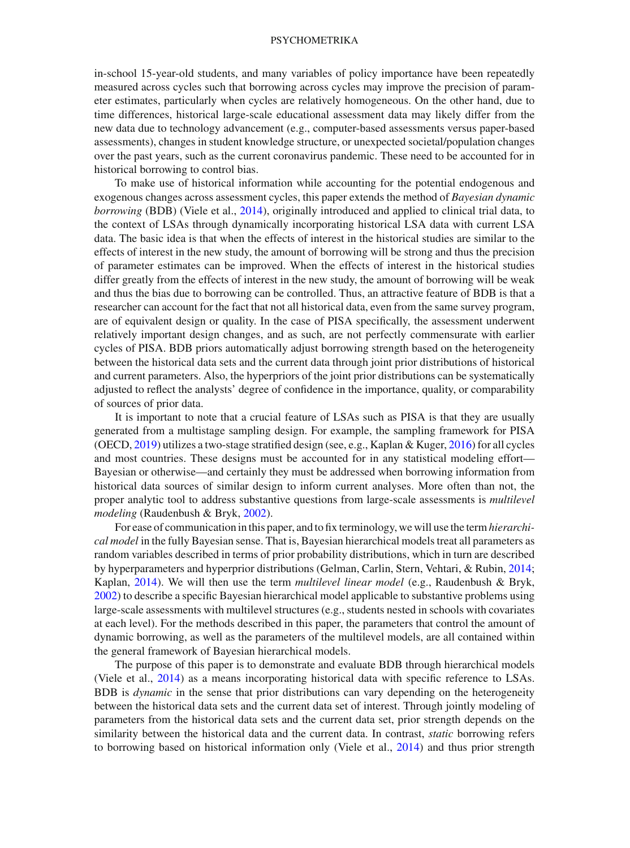in-school 15-year-old students, and many variables of policy importance have been repeatedly measured across cycles such that borrowing across cycles may improve the precision of parameter estimates, particularly when cycles are relatively homogeneous. On the other hand, due to time differences, historical large-scale educational assessment data may likely differ from the new data due to technology advancement (e.g., computer-based assessments versus paper-based assessments), changes in student knowledge structure, or unexpected societal/population changes over the past years, such as the current coronavirus pandemic. These need to be accounted for in historical borrowing to control bias.

To make use of historical information while accounting for the potential endogenous and exogenous changes across assessment cycles, this paper extends the method of *Bayesian dynamic borrowing* (BDB) (Viele et al., [2014](#page-28-3)), originally introduced and applied to clinical trial data, to the context of LSAs through dynamically incorporating historical LSA data with current LSA data. The basic idea is that when the effects of interest in the historical studies are similar to the effects of interest in the new study, the amount of borrowing will be strong and thus the precision of parameter estimates can be improved. When the effects of interest in the historical studies differ greatly from the effects of interest in the new study, the amount of borrowing will be weak and thus the bias due to borrowing can be controlled. Thus, an attractive feature of BDB is that a researcher can account for the fact that not all historical data, even from the same survey program, are of equivalent design or quality. In the case of PISA specifically, the assessment underwent relatively important design changes, and as such, are not perfectly commensurate with earlier cycles of PISA. BDB priors automatically adjust borrowing strength based on the heterogeneity between the historical data sets and the current data through joint prior distributions of historical and current parameters. Also, the hyperpriors of the joint prior distributions can be systematically adjusted to reflect the analysts' degree of confidence in the importance, quality, or comparability of sources of prior data.

It is important to note that a crucial feature of LSAs such as PISA is that they are usually generated from a multistage sampling design. For example, the sampling framework for PISA (OECD, [2019](#page-28-4)) utilizes a two-stage stratified design (see, e.g., Kaplan & Kuger, [2016\)](#page-28-5) for all cycles and most countries. These designs must be accounted for in any statistical modeling effort— Bayesian or otherwise—and certainly they must be addressed when borrowing information from historical data sources of similar design to inform current analyses. More often than not, the proper analytic tool to address substantive questions from large-scale assessments is *multilevel modeling* (Raudenbush & Bryk, [2002](#page-28-6)).

For ease of communication in this paper, and to fix terminology, we will use the term*hierarchical model* in the fully Bayesian sense. That is, Bayesian hierarchical models treat all parameters as random variables described in terms of prior probability distributions, which in turn are described by hyperparameters and hyperprior distributions (Gelman, Carlin, Stern, Vehtari, & Rubin, [2014;](#page-27-0) Kaplan, [2014\)](#page-27-1). We will then use the term *multilevel linear model* (e.g., Raudenbush & Bryk, [2002\)](#page-28-6) to describe a specific Bayesian hierarchical model applicable to substantive problems using large-scale assessments with multilevel structures (e.g., students nested in schools with covariates at each level). For the methods described in this paper, the parameters that control the amount of dynamic borrowing, as well as the parameters of the multilevel models, are all contained within the general framework of Bayesian hierarchical models.

The purpose of this paper is to demonstrate and evaluate BDB through hierarchical models (Viele et al., [2014\)](#page-28-3) as a means incorporating historical data with specific reference to LSAs. BDB is *dynamic* in the sense that prior distributions can vary depending on the heterogeneity between the historical data sets and the current data set of interest. Through jointly modeling of parameters from the historical data sets and the current data set, prior strength depends on the similarity between the historical data and the current data. In contrast, *static* borrowing refers to borrowing based on historical information only (Viele et al., [2014\)](#page-28-3) and thus prior strength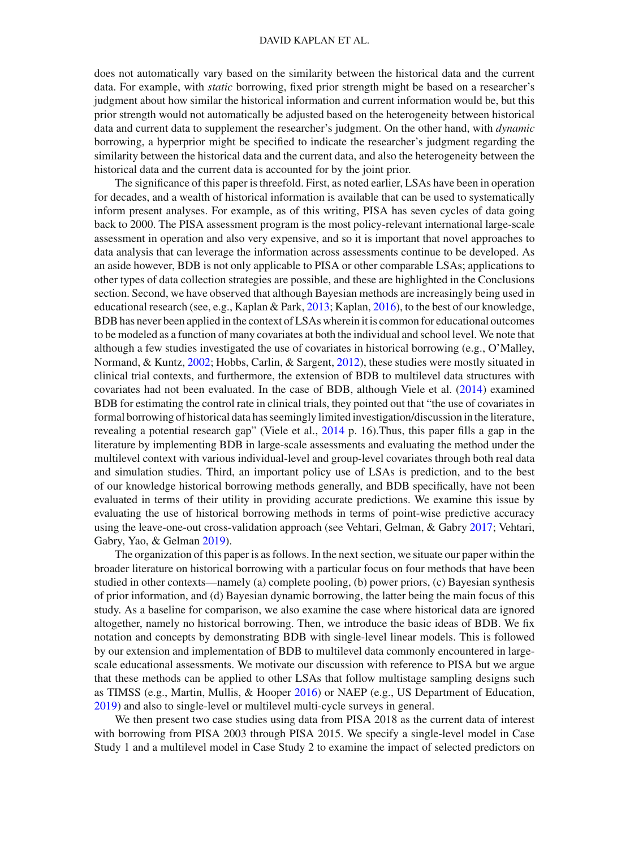does not automatically vary based on the similarity between the historical data and the current data. For example, with *static* borrowing, fixed prior strength might be based on a researcher's judgment about how similar the historical information and current information would be, but this prior strength would not automatically be adjusted based on the heterogeneity between historical data and current data to supplement the researcher's judgment. On the other hand, with *dynamic* borrowing, a hyperprior might be specified to indicate the researcher's judgment regarding the similarity between the historical data and the current data, and also the heterogeneity between the historical data and the current data is accounted for by the joint prior.

The significance of this paper is threefold. First, as noted earlier, LSAs have been in operation for decades, and a wealth of historical information is available that can be used to systematically inform present analyses. For example, as of this writing, PISA has seven cycles of data going back to 2000. The PISA assessment program is the most policy-relevant international large-scale assessment in operation and also very expensive, and so it is important that novel approaches to data analysis that can leverage the information across assessments continue to be developed. As an aside however, BDB is not only applicable to PISA or other comparable LSAs; applications to other types of data collection strategies are possible, and these are highlighted in the Conclusions section. Second, we have observed that although Bayesian methods are increasingly being used in educational research (see, e.g., Kaplan & Park, [2013](#page-28-7); Kaplan, [2016](#page-27-2)), to the best of our knowledge, BDB has never been applied in the context of LSAs wherein it is common for educational outcomes to be modeled as a function of many covariates at both the individual and school level. We note that although a few studies investigated the use of covariates in historical borrowing (e.g., O'Malley, Normand, & Kuntz, [2002;](#page-28-8) Hobbs, Carlin, & Sargent, [2012\)](#page-27-3), these studies were mostly situated in clinical trial contexts, and furthermore, the extension of BDB to multilevel data structures with covariates had not been evaluated. In the case of BDB, although Viele et al. [\(2014](#page-28-3)) examined BDB for estimating the control rate in clinical trials, they pointed out that "the use of covariates in formal borrowing of historical data has seemingly limited investigation/discussion in the literature, revealing a potential research gap" (Viele et al., [2014](#page-28-3) p. 16).Thus, this paper fills a gap in the literature by implementing BDB in large-scale assessments and evaluating the method under the multilevel context with various individual-level and group-level covariates through both real data and simulation studies. Third, an important policy use of LSAs is prediction, and to the best of our knowledge historical borrowing methods generally, and BDB specifically, have not been evaluated in terms of their utility in providing accurate predictions. We examine this issue by evaluating the use of historical borrowing methods in terms of point-wise predictive accuracy using the leave-one-out cross-validation approach (see Vehtari, Gelman, & Gabry [2017](#page-28-9); Vehtari, Gabry, Yao, & Gelman [2019\)](#page-28-10).

The organization of this paper is as follows. In the next section, we situate our paper within the broader literature on historical borrowing with a particular focus on four methods that have been studied in other contexts—namely (a) complete pooling, (b) power priors, (c) Bayesian synthesis of prior information, and (d) Bayesian dynamic borrowing, the latter being the main focus of this study. As a baseline for comparison, we also examine the case where historical data are ignored altogether, namely no historical borrowing. Then, we introduce the basic ideas of BDB. We fix notation and concepts by demonstrating BDB with single-level linear models. This is followed by our extension and implementation of BDB to multilevel data commonly encountered in largescale educational assessments. We motivate our discussion with reference to PISA but we argue that these methods can be applied to other LSAs that follow multistage sampling designs such as TIMSS (e.g., Martin, Mullis, & Hooper [2016\)](#page-28-11) or NAEP (e.g., US Department of Education, [2019\)](#page-28-12) and also to single-level or multilevel multi-cycle surveys in general.

We then present two case studies using data from PISA 2018 as the current data of interest with borrowing from PISA 2003 through PISA 2015. We specify a single-level model in Case Study 1 and a multilevel model in Case Study 2 to examine the impact of selected predictors on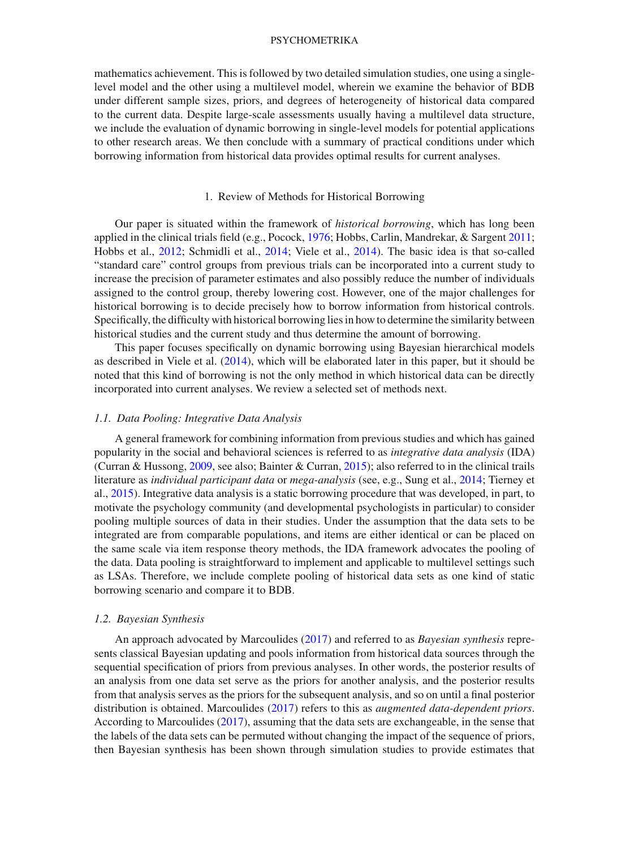mathematics achievement. This is followed by two detailed simulation studies, one using a singlelevel model and the other using a multilevel model, wherein we examine the behavior of BDB under different sample sizes, priors, and degrees of heterogeneity of historical data compared to the current data. Despite large-scale assessments usually having a multilevel data structure, we include the evaluation of dynamic borrowing in single-level models for potential applications to other research areas. We then conclude with a summary of practical conditions under which borrowing information from historical data provides optimal results for current analyses.

## 1. Review of Methods for Historical Borrowing

Our paper is situated within the framework of *historical borrowing*, which has long been applied in the clinical trials field (e.g., Pocock, [1976;](#page-28-13) Hobbs, Carlin, Mandrekar, & Sargent [2011;](#page-27-4) Hobbs et al., [2012;](#page-27-3) Schmidli et al., [2014](#page-28-14); Viele et al., [2014](#page-28-3)). The basic idea is that so-called "standard care" control groups from previous trials can be incorporated into a current study to increase the precision of parameter estimates and also possibly reduce the number of individuals assigned to the control group, thereby lowering cost. However, one of the major challenges for historical borrowing is to decide precisely how to borrow information from historical controls. Specifically, the difficulty with historical borrowing lies in how to determine the similarity between historical studies and the current study and thus determine the amount of borrowing.

This paper focuses specifically on dynamic borrowing using Bayesian hierarchical models as described in Viele et al. [\(2014\)](#page-28-3), which will be elaborated later in this paper, but it should be noted that this kind of borrowing is not the only method in which historical data can be directly incorporated into current analyses. We review a selected set of methods next.

#### *1.1. Data Pooling: Integrative Data Analysis*

A general framework for combining information from previous studies and which has gained popularity in the social and behavioral sciences is referred to as *integrative data analysis* (IDA) (Curran & Hussong, [2009](#page-27-5), see also; Bainter & Curran, [2015\)](#page-27-6); also referred to in the clinical trails literature as *individual participant data* or *mega-analysis* (see, e.g., Sung et al., [2014](#page-28-15); Tierney et al., [2015](#page-28-16)). Integrative data analysis is a static borrowing procedure that was developed, in part, to motivate the psychology community (and developmental psychologists in particular) to consider pooling multiple sources of data in their studies. Under the assumption that the data sets to be integrated are from comparable populations, and items are either identical or can be placed on the same scale via item response theory methods, the IDA framework advocates the pooling of the data. Data pooling is straightforward to implement and applicable to multilevel settings such as LSAs. Therefore, we include complete pooling of historical data sets as one kind of static borrowing scenario and compare it to BDB.

## *1.2. Bayesian Synthesis*

An approach advocated by Marcoulides [\(2017\)](#page-28-17) and referred to as *Bayesian synthesis* represents classical Bayesian updating and pools information from historical data sources through the sequential specification of priors from previous analyses. In other words, the posterior results of an analysis from one data set serve as the priors for another analysis, and the posterior results from that analysis serves as the priors for the subsequent analysis, and so on until a final posterior distribution is obtained. Marcoulides [\(2017\)](#page-28-17) refers to this as *augmented data-dependent priors*. According to Marcoulides [\(2017\)](#page-28-17), assuming that the data sets are exchangeable, in the sense that the labels of the data sets can be permuted without changing the impact of the sequence of priors, then Bayesian synthesis has been shown through simulation studies to provide estimates that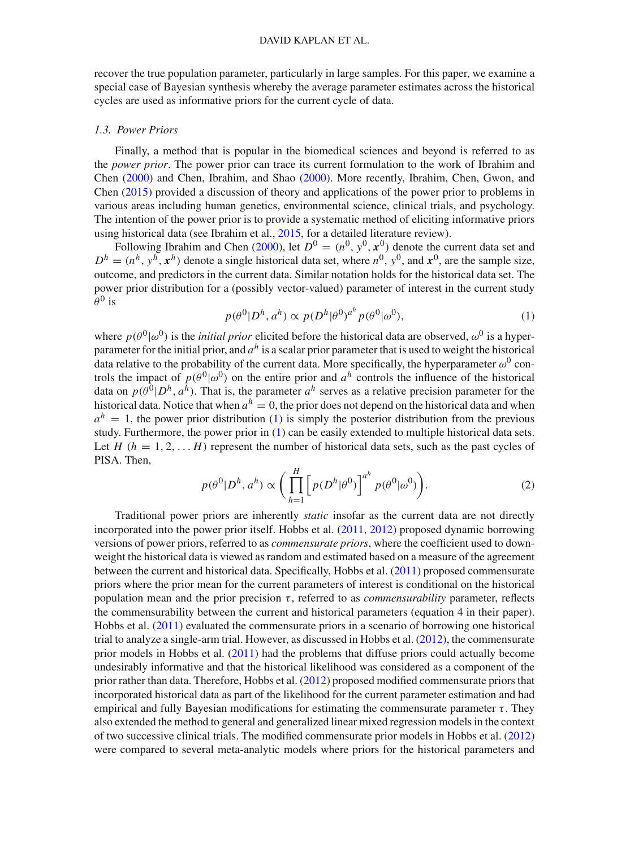recover the true population parameter, particularly in large samples. For this paper, we examine a special case of Bayesian synthesis whereby the average parameter estimates across the historical cycles are used as informative priors for the current cycle of data.

#### *1.3. Power Priors*

Finally, a method that is popular in the biomedical sciences and beyond is referred to as the *power prior*. The power prior can trace its current formulation to the work of Ibrahim and Chen [\(2000\)](#page-27-7) and Chen, Ibrahim, and Shao [\(2000\)](#page-27-8). More recently, Ibrahim, Chen, Gwon, and Chen [\(2015\)](#page-27-9) provided a discussion of theory and applications of the power prior to problems in various areas including human genetics, environmental science, clinical trials, and psychology. The intention of the power prior is to provide a systematic method of eliciting informative priors using historical data (see Ibrahim et al., [2015](#page-27-9), for a detailed literature review).

Following Ibrahim and Chen [\(2000](#page-27-7)), let  $D^0 = (n^0, y^0, x^0)$  denote the current data set and  $D^h = (n^h, y^h, x^h)$  denote a single historical data set, where  $n^0, y^0$ , and  $x^0$ , are the sample size, outcome, and predictors in the current data. Similar notation holds for the historical data set. The power prior distribution for a (possibly vector-valued) parameter of interest in the current study  $\theta^0$  is

<span id="page-4-0"></span>
$$
p(\theta^0 | D^h, a^h) \propto p(D^h | \theta^0)^{a^h} p(\theta^0 | \omega^0), \tag{1}
$$

where  $p(\theta^0|\omega^0)$  is the *initial prior* elicited before the historical data are observed,  $\omega^0$  is a hyperparameter for the initial prior, and *a<sup>h</sup>* is a scalar prior parameter that is used to weight the historical data relative to the probability of the current data. More specifically, the hyperparameter  $\omega^0$  controls the impact of  $p(\theta^0|\omega^0)$  on the entire prior and  $a^h$  controls the influence of the historical data on  $p(\hat{\theta}^0|D^h, a^{\hat{h}})$ . That is, the parameter  $a^h$  serves as a relative precision parameter for the historical data. Notice that when  $a^h = 0$ , the prior does not depend on the historical data and when  $a<sup>h</sup> = 1$ , the power prior distribution [\(1\)](#page-4-0) is simply the posterior distribution from the previous study. Furthermore, the power prior in [\(1\)](#page-4-0) can be easily extended to multiple historical data sets. Let  $H$  ( $h = 1, 2, \ldots, H$ ) represent the number of historical data sets, such as the past cycles of PISA. Then,

$$
p(\theta^0 | D^h, a^h) \propto \bigg(\prod_{h=1}^H \left[p(D^h | \theta^0)\right]^{a^h} p(\theta^0 | \omega^0)\bigg). \tag{2}
$$

Traditional power priors are inherently *static* insofar as the current data are not directly incorporated into the power prior itself. Hobbs et al. [\(2011](#page-27-4), [2012](#page-27-3)) proposed dynamic borrowing versions of power priors, referred to as *commensurate priors*, where the coefficient used to downweight the historical data is viewed as random and estimated based on a measure of the agreement between the current and historical data. Specifically, Hobbs et al. [\(2011](#page-27-4)) proposed commensurate priors where the prior mean for the current parameters of interest is conditional on the historical population mean and the prior precision  $\tau$ , referred to as *commensurability* parameter, reflects the commensurability between the current and historical parameters (equation 4 in their paper). Hobbs et al. [\(2011\)](#page-27-4) evaluated the commensurate priors in a scenario of borrowing one historical trial to analyze a single-arm trial. However, as discussed in Hobbs et al. [\(2012\)](#page-27-3), the commensurate prior models in Hobbs et al. [\(2011](#page-27-4)) had the problems that diffuse priors could actually become undesirably informative and that the historical likelihood was considered as a component of the prior rather than data. Therefore, Hobbs et al. [\(2012\)](#page-27-3) proposed modified commensurate priors that incorporated historical data as part of the likelihood for the current parameter estimation and had empirical and fully Bayesian modifications for estimating the commensurate parameter  $\tau$ . They also extended the method to general and generalized linear mixed regression models in the context of two successive clinical trials. The modified commensurate prior models in Hobbs et al. [\(2012](#page-27-3)) were compared to several meta-analytic models where priors for the historical parameters and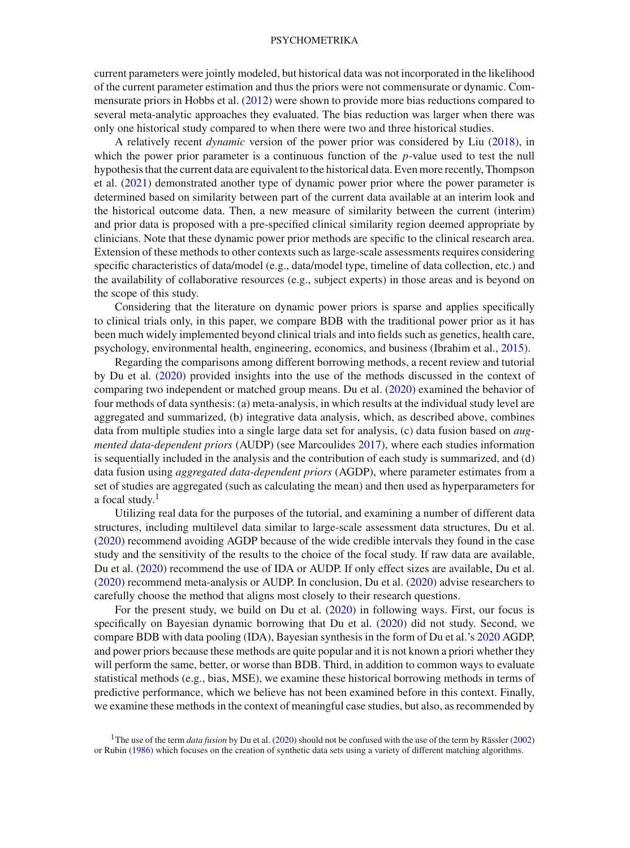current parameters were jointly modeled, but historical data was not incorporated in the likelihood of the current parameter estimation and thus the priors were not commensurate or dynamic. Commensurate priors in Hobbs et al. [\(2012](#page-27-3)) were shown to provide more bias reductions compared to several meta-analytic approaches they evaluated. The bias reduction was larger when there was only one historical study compared to when there were two and three historical studies.

A relatively recent *dynamic* version of the power prior was considered by Liu [\(2018\)](#page-28-18), in which the power prior parameter is a continuous function of the *p*-value used to test the null hypothesis that the current data are equivalent to the historical data. Even more recently, Thompson et al. [\(2021](#page-28-19)) demonstrated another type of dynamic power prior where the power parameter is determined based on similarity between part of the current data available at an interim look and the historical outcome data. Then, a new measure of similarity between the current (interim) and prior data is proposed with a pre-specified clinical similarity region deemed appropriate by clinicians. Note that these dynamic power prior methods are specific to the clinical research area. Extension of these methods to other contexts such as large-scale assessments requires considering specific characteristics of data/model (e.g., data/model type, timeline of data collection, etc.) and the availability of collaborative resources (e.g., subject experts) in those areas and is beyond on the scope of this study.

Considering that the literature on dynamic power priors is sparse and applies specifically to clinical trials only, in this paper, we compare BDB with the traditional power prior as it has been much widely implemented beyond clinical trials and into fields such as genetics, health care, psychology, environmental health, engineering, economics, and business (Ibrahim et al., [2015](#page-27-9)).

Regarding the comparisons among different borrowing methods, a recent review and tutorial by Du et al. [\(2020](#page-27-10)) provided insights into the use of the methods discussed in the context of comparing two independent or matched group means. Du et al. [\(2020\)](#page-27-10) examined the behavior of four methods of data synthesis: (a) meta-analysis, in which results at the individual study level are aggregated and summarized, (b) integrative data analysis, which, as described above, combines data from multiple studies into a single large data set for analysis, (c) data fusion based on *augmented data-dependent priors* (AUDP) (see Marcoulides [2017](#page-28-17)), where each studies information is sequentially included in the analysis and the contribution of each study is summarized, and (d) data fusion using *aggregated data-dependent priors* (AGDP), where parameter estimates from a set of studies are aggregated (such as calculating the mean) and then used as hyperparameters for a focal study.<sup>1</sup>

Utilizing real data for the purposes of the tutorial, and examining a number of different data structures, including multilevel data similar to large-scale assessment data structures, Du et al. [\(2020](#page-27-10)) recommend avoiding AGDP because of the wide credible intervals they found in the case study and the sensitivity of the results to the choice of the focal study. If raw data are available, Du et al. [\(2020\)](#page-27-10) recommend the use of IDA or AUDP. If only effect sizes are available, Du et al. [\(2020](#page-27-10)) recommend meta-analysis or AUDP. In conclusion, Du et al. [\(2020](#page-27-10)) advise researchers to carefully choose the method that aligns most closely to their research questions.

For the present study, we build on Du et al. [\(2020](#page-27-10)) in following ways. First, our focus is specifically on Bayesian dynamic borrowing that Du et al. [\(2020](#page-27-10)) did not study. Second, we compare BDB with data pooling (IDA), Bayesian synthesis in the form of Du et al.'s [2020](#page-27-10) AGDP, and power priors because these methods are quite popular and it is not known a priori whether they will perform the same, better, or worse than BDB. Third, in addition to common ways to evaluate statistical methods (e.g., bias, MSE), we examine these historical borrowing methods in terms of predictive performance, which we believe has not been examined before in this context. Finally, we examine these methods in the context of meaningful case studies, but also, as recommended by

<span id="page-5-0"></span><sup>&</sup>lt;sup>1</sup>The use of the term *data fusion* by Du et al. [\(2020](#page-27-10)) should not be confused with the use of the term by Rässler [\(2002\)](#page-28-20) or Rubin [\(1986\)](#page-28-21) which focuses on the creation of synthetic data sets using a variety of different matching algorithms.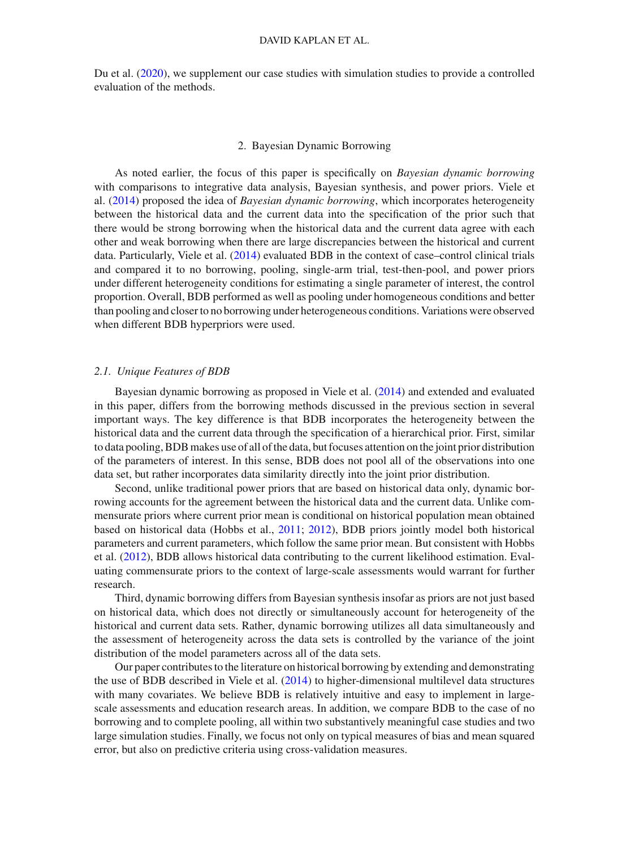Du et al. [\(2020\)](#page-27-10), we supplement our case studies with simulation studies to provide a controlled evaluation of the methods.

## 2. Bayesian Dynamic Borrowing

As noted earlier, the focus of this paper is specifically on *Bayesian dynamic borrowing* with comparisons to integrative data analysis, Bayesian synthesis, and power priors. Viele et al. [\(2014\)](#page-28-3) proposed the idea of *Bayesian dynamic borrowing*, which incorporates heterogeneity between the historical data and the current data into the specification of the prior such that there would be strong borrowing when the historical data and the current data agree with each other and weak borrowing when there are large discrepancies between the historical and current data. Particularly, Viele et al. [\(2014](#page-28-3)) evaluated BDB in the context of case–control clinical trials and compared it to no borrowing, pooling, single-arm trial, test-then-pool, and power priors under different heterogeneity conditions for estimating a single parameter of interest, the control proportion. Overall, BDB performed as well as pooling under homogeneous conditions and better than pooling and closer to no borrowing under heterogeneous conditions. Variations were observed when different BDB hyperpriors were used.

## *2.1. Unique Features of BDB*

Bayesian dynamic borrowing as proposed in Viele et al. [\(2014\)](#page-28-3) and extended and evaluated in this paper, differs from the borrowing methods discussed in the previous section in several important ways. The key difference is that BDB incorporates the heterogeneity between the historical data and the current data through the specification of a hierarchical prior. First, similar to data pooling, BDB makes use of all of the data, but focuses attention on the joint prior distribution of the parameters of interest. In this sense, BDB does not pool all of the observations into one data set, but rather incorporates data similarity directly into the joint prior distribution.

Second, unlike traditional power priors that are based on historical data only, dynamic borrowing accounts for the agreement between the historical data and the current data. Unlike commensurate priors where current prior mean is conditional on historical population mean obtained based on historical data (Hobbs et al., [2011;](#page-27-4) [2012\)](#page-27-3), BDB priors jointly model both historical parameters and current parameters, which follow the same prior mean. But consistent with Hobbs et al. [\(2012](#page-27-3)), BDB allows historical data contributing to the current likelihood estimation. Evaluating commensurate priors to the context of large-scale assessments would warrant for further research.

Third, dynamic borrowing differs from Bayesian synthesis insofar as priors are not just based on historical data, which does not directly or simultaneously account for heterogeneity of the historical and current data sets. Rather, dynamic borrowing utilizes all data simultaneously and the assessment of heterogeneity across the data sets is controlled by the variance of the joint distribution of the model parameters across all of the data sets.

Our paper contributes to the literature on historical borrowing by extending and demonstrating the use of BDB described in Viele et al. [\(2014](#page-28-3)) to higher-dimensional multilevel data structures with many covariates. We believe BDB is relatively intuitive and easy to implement in largescale assessments and education research areas. In addition, we compare BDB to the case of no borrowing and to complete pooling, all within two substantively meaningful case studies and two large simulation studies. Finally, we focus not only on typical measures of bias and mean squared error, but also on predictive criteria using cross-validation measures.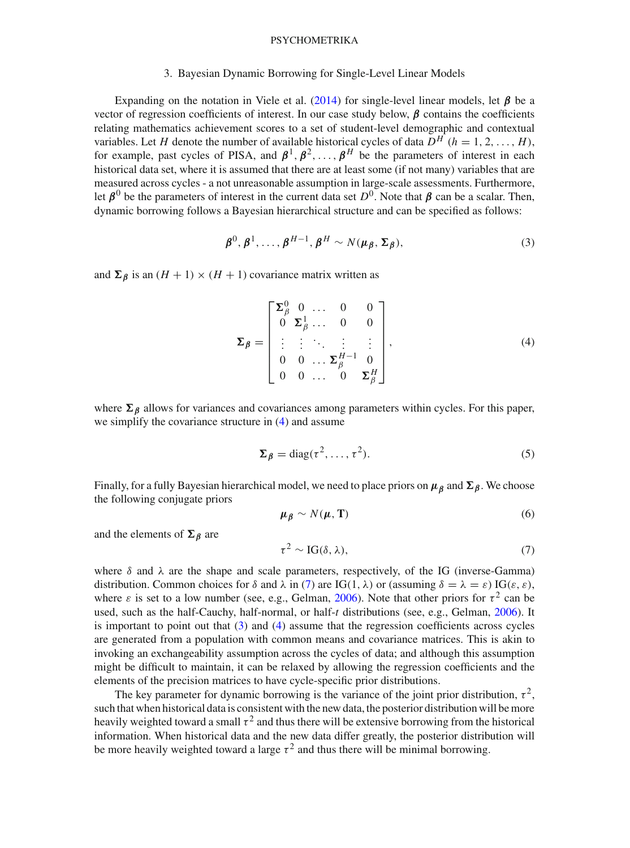#### 3. Bayesian Dynamic Borrowing for Single-Level Linear Models

Expanding on the notation in Viele et al. [\(2014\)](#page-28-3) for single-level linear models, let *β* be a vector of regression coefficients of interest. In our case study below, *β* contains the coefficients relating mathematics achievement scores to a set of student-level demographic and contextual variables. Let *H* denote the number of available historical cycles of data  $D^H$  ( $h = 1, 2, ..., H$ ), for example, past cycles of PISA, and  $\beta^1, \beta^2, \ldots, \beta^H$  be the parameters of interest in each historical data set, where it is assumed that there are at least some (if not many) variables that are measured across cycles - a not unreasonable assumption in large-scale assessments. Furthermore, let  *be the parameters of interest in the current data set*  $*D*<sup>0</sup>$ *. Note that*  $*β*$  *can be a scalar. Then,* dynamic borrowing follows a Bayesian hierarchical structure and can be specified as follows:

<span id="page-7-2"></span>
$$
\boldsymbol{\beta}^0, \boldsymbol{\beta}^1, \dots, \boldsymbol{\beta}^{H-1}, \boldsymbol{\beta}^H \sim N(\boldsymbol{\mu}_{\boldsymbol{\beta}}, \boldsymbol{\Sigma}_{\boldsymbol{\beta}}),
$$
\n(3)

and  $\Sigma_{\beta}$  is an  $(H + 1) \times (H + 1)$  covariance matrix written as

<span id="page-7-0"></span>
$$
\Sigma_{\beta} = \begin{bmatrix} \Sigma_{\beta}^{0} & 0 & \dots & 0 & 0 \\ 0 & \Sigma_{\beta}^{1} & \dots & 0 & 0 \\ \vdots & \vdots & \ddots & \vdots & \vdots \\ 0 & 0 & \dots & \Sigma_{\beta}^{H-1} & 0 \\ 0 & 0 & \dots & 0 & \Sigma_{\beta}^{H} \end{bmatrix},
$$
\n(4)

where  $\Sigma_{\beta}$  allows for variances and covariances among parameters within cycles. For this paper, we simplify the covariance structure in [\(4\)](#page-7-0) and assume

$$
\Sigma_{\beta} = \text{diag}(\tau^2, \dots, \tau^2). \tag{5}
$$

Finally, for a fully Bayesian hierarchical model, we need to place priors on *μβ* and *β*. We choose the following conjugate priors

$$
\mu_{\beta} \sim N(\mu, T) \tag{6}
$$

and the elements of  $\Sigma_{\beta}$  are

<span id="page-7-1"></span>
$$
\tau^2 \sim \text{IG}(\delta, \lambda),\tag{7}
$$

where  $\delta$  and  $\lambda$  are the shape and scale parameters, respectively, of the IG (inverse-Gamma) distribution. Common choices for  $\delta$  and  $\lambda$  in [\(7\)](#page-7-1) are IG(1,  $\lambda$ ) or (assuming  $\delta = \lambda = \varepsilon$ ) IG( $\varepsilon, \varepsilon$ ), where  $\varepsilon$  is set to a low number (see, e.g., Gelman, [2006\)](#page-27-11). Note that other priors for  $\tau^2$  can be used, such as the half-Cauchy, half-normal, or half-*t* distributions (see, e.g., Gelman, [2006\)](#page-27-11). It is important to point out that  $(3)$  and  $(4)$  assume that the regression coefficients across cycles are generated from a population with common means and covariance matrices. This is akin to invoking an exchangeability assumption across the cycles of data; and although this assumption might be difficult to maintain, it can be relaxed by allowing the regression coefficients and the elements of the precision matrices to have cycle-specific prior distributions.

The key parameter for dynamic borrowing is the variance of the joint prior distribution,  $\tau^2$ . such that when historical data is consistent with the new data, the posterior distribution will be more heavily weighted toward a small  $\tau^2$  and thus there will be extensive borrowing from the historical information. When historical data and the new data differ greatly, the posterior distribution will be more heavily weighted toward a large  $\tau^2$  and thus there will be minimal borrowing.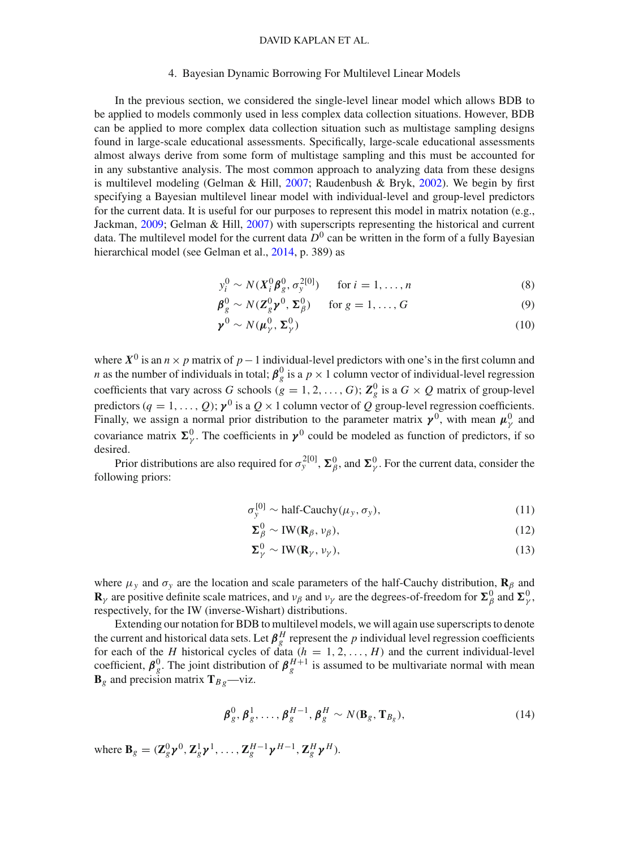#### 4. Bayesian Dynamic Borrowing For Multilevel Linear Models

In the previous section, we considered the single-level linear model which allows BDB to be applied to models commonly used in less complex data collection situations. However, BDB can be applied to more complex data collection situation such as multistage sampling designs found in large-scale educational assessments. Specifically, large-scale educational assessments almost always derive from some form of multistage sampling and this must be accounted for in any substantive analysis. The most common approach to analyzing data from these designs is multilevel modeling (Gelman & Hill, [2007](#page-27-12); Raudenbush & Bryk, [2002](#page-28-6)). We begin by first specifying a Bayesian multilevel linear model with individual-level and group-level predictors for the current data. It is useful for our purposes to represent this model in matrix notation (e.g., Jackman, [2009](#page-27-13); Gelman & Hill, [2007](#page-27-12)) with superscripts representing the historical and current data. The multilevel model for the current data  $D^0$  can be written in the form of a fully Bayesian hierarchical model (see Gelman et al., [2014,](#page-27-0) p. 389) as

 $y_i^0 \sim N(X_i^0 \beta_g^0, \sigma_y^{2[0]})$  for  $i = 1, ..., n$  (8)

$$
\boldsymbol{\beta}_g^0 \sim N(\mathbf{Z}_g^0 \mathbf{y}^0, \boldsymbol{\Sigma}_\beta^0) \quad \text{for } g = 1, \dots, G \tag{9}
$$

$$
\boldsymbol{\gamma}^0 \sim N(\boldsymbol{\mu}_{\gamma}^0, \boldsymbol{\Sigma}_{\gamma}^0) \tag{10}
$$

where  $X^0$  is an  $n \times p$  matrix of  $p-1$  individual-level predictors with one's in the first column and *n* as the number of individuals in total;  $\beta_g^0$  is a  $p \times 1$  column vector of individual-level regression coefficients that vary across *G* schools ( $g = 1, 2, ..., G$ );  $\mathbb{Z}_g^0$  is a  $G \times Q$  matrix of group-level predictors ( $q = 1, \ldots, Q$ );  $\gamma^0$  is a  $Q \times 1$  column vector of  $Q$  group-level regression coefficients. Finally, we assign a normal prior distribution to the parameter matrix  $\gamma^0$ , with mean  $\mu_\gamma^0$  and covariance matrix  $\Sigma^0_\gamma$ . The coefficients in  $\gamma^0$  could be modeled as function of predictors, if so desired.

Prior distributions are also required for  $\sigma_y^{2[0]}$ ,  $\Sigma_\beta^0$ , and  $\Sigma_\gamma^0$ . For the current data, consider the following priors:

$$
\sigma_{y}^{[0]} \sim \text{half-Cauchy}(\mu_{y}, \sigma_{y}), \qquad (11)
$$

$$
\Sigma_{\beta}^{0} \sim \text{IW}(\mathbf{R}_{\beta}, \nu_{\beta}),\tag{12}
$$

$$
\Sigma_{\gamma}^{0} \sim \text{IW}(\mathbf{R}_{\gamma}, \nu_{\gamma}), \tag{13}
$$

where  $\mu_y$  and  $\sigma_y$  are the location and scale parameters of the half-Cauchy distribution, **R**<sub>β</sub> and **R**<sub>γ</sub> are positive definite scale matrices, and  $v_\beta$  and  $v_\gamma$  are the degrees-of-freedom for  $\Sigma^0_\beta$  and  $\Sigma^0_\gamma$ . respectively, for the IW (inverse-Wishart) distributions.

Extending our notation for BDB to multilevel models, we will again use superscripts to denote the current and historical data sets. Let  $\beta_g^H$  represent the *p* individual level regression coefficients for each of the *H* historical cycles of data  $(h = 1, 2, ..., H)$  and the current individual-level coefficient,  $\beta_g^0$ . The joint distribution of  $\beta_g^{H+1}$  is assumed to be multivariate normal with mean  $\mathbf{B}_g$  and precision matrix  $\mathbf{T}_{g}$ <sup>-</sup>viz.

$$
\boldsymbol{\beta}_g^0, \boldsymbol{\beta}_g^1, \dots, \boldsymbol{\beta}_g^{H-1}, \boldsymbol{\beta}_g^H \sim N(\mathbf{B}_g, \mathbf{T}_{B_g}),
$$
\n(14)

where  $\mathbf{B}_g = (\mathbf{Z}_g^0 \boldsymbol{\gamma}^0, \mathbf{Z}_g^1 \boldsymbol{\gamma}^1, \dots, \mathbf{Z}_g^{H-1} \boldsymbol{\gamma}^{H-1}, \mathbf{Z}_g^H \boldsymbol{\gamma}^H)$ .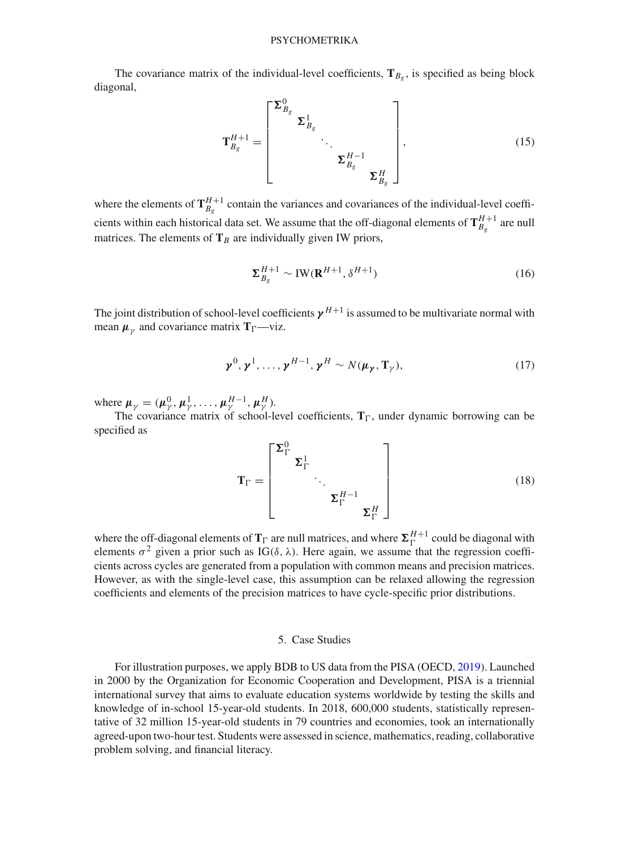The covariance matrix of the individual-level coefficients,  $T_{\beta_g}$ , is specified as being block diagonal,

$$
\mathbf{T}_{B_g}^{H+1} = \begin{bmatrix} \boldsymbol{\Sigma}_{B_g}^0 & & \\ & \boldsymbol{\Sigma}_{B_g}^1 & \\ & & \ddots \\ & & & \boldsymbol{\Sigma}_{B_g}^{H-1} \\ & & & \boldsymbol{\Sigma}_{B_g}^H \end{bmatrix},\tag{15}
$$

where the elements of  $T_{B_g}^{H+1}$  contain the variances and covariances of the individual-level coefficients within each historical data set. We assume that the off-diagonal elements of  $\mathbf{T}_{B_g}^{H+1}$  are null matrices. The elements of  $T_B$  are individually given IW priors,

$$
\Sigma_{B_g}^{H+1} \sim \text{IW}(\mathbf{R}^{H+1}, \delta^{H+1})
$$
\n(16)

The joint distribution of school-level coefficients  $\gamma^{H+1}$  is assumed to be multivariate normal with mean  $\mu_{\nu}$  and covariance matrix  $T_{\Gamma}$ —viz.

$$
\boldsymbol{\gamma}^0, \boldsymbol{\gamma}^1, \dots, \boldsymbol{\gamma}^{H-1}, \boldsymbol{\gamma}^H \sim N(\boldsymbol{\mu}_{\boldsymbol{\gamma}}, \mathbf{T}_{\boldsymbol{\gamma}}), \qquad (17)
$$

where  $\mu_{\gamma} = (\mu_{\gamma}^0, \mu_{\gamma}^1, \ldots, \mu_{\gamma}^{H-1}, \mu_{\gamma}^H)$ .

The covariance matrix of school-level coefficients,  $T_{\Gamma}$ , under dynamic borrowing can be specified as

$$
\mathbf{T}_{\Gamma} = \begin{bmatrix} \boldsymbol{\Sigma}_{\Gamma}^{0} & & \\ & \boldsymbol{\Sigma}_{\Gamma}^{1} & \\ & & \ddots \\ & & & \boldsymbol{\Sigma}_{\Gamma}^{H-1} \\ & & & \boldsymbol{\Sigma}_{\Gamma}^{H} \end{bmatrix} \tag{18}
$$

where the off-diagonal elements of  $T_{\Gamma}$  are null matrices, and where  $\Sigma_{\Gamma}^{H+1}$  could be diagonal with elements  $\sigma^2$  given a prior such as IG( $\delta$ ,  $\lambda$ ). Here again, we assume that the regression coefficients across cycles are generated from a population with common means and precision matrices. However, as with the single-level case, this assumption can be relaxed allowing the regression coefficients and elements of the precision matrices to have cycle-specific prior distributions.

#### 5. Case Studies

For illustration purposes, we apply BDB to US data from the PISA (OECD, [2019\)](#page-28-4). Launched in 2000 by the Organization for Economic Cooperation and Development, PISA is a triennial international survey that aims to evaluate education systems worldwide by testing the skills and knowledge of in-school 15-year-old students. In 2018, 600,000 students, statistically representative of 32 million 15-year-old students in 79 countries and economies, took an internationally agreed-upon two-hour test. Students were assessed in science, mathematics, reading, collaborative problem solving, and financial literacy.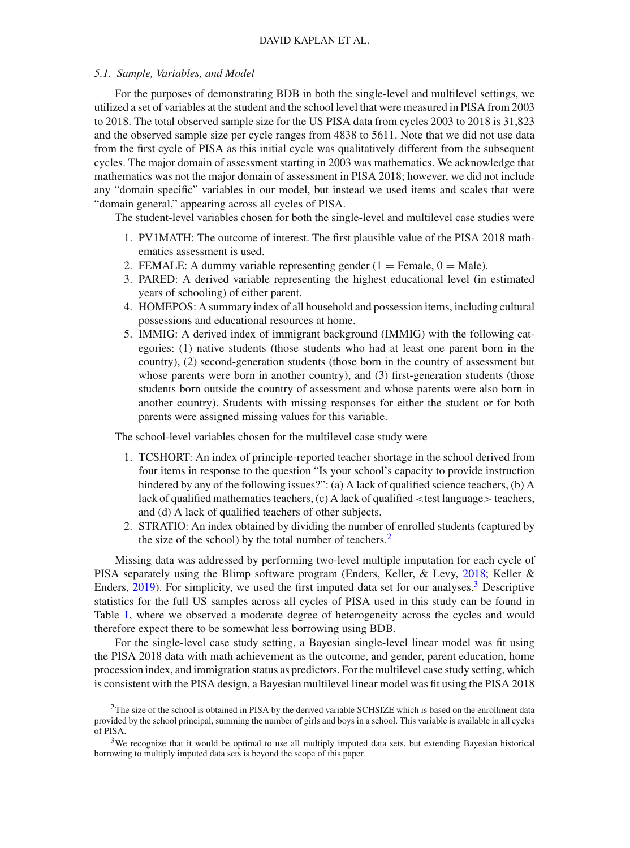#### *5.1. Sample, Variables, and Model*

For the purposes of demonstrating BDB in both the single-level and multilevel settings, we utilized a set of variables at the student and the school level that were measured in PISA from 2003 to 2018. The total observed sample size for the US PISA data from cycles 2003 to 2018 is 31,823 and the observed sample size per cycle ranges from 4838 to 5611. Note that we did not use data from the first cycle of PISA as this initial cycle was qualitatively different from the subsequent cycles. The major domain of assessment starting in 2003 was mathematics. We acknowledge that mathematics was not the major domain of assessment in PISA 2018; however, we did not include any "domain specific" variables in our model, but instead we used items and scales that were "domain general," appearing across all cycles of PISA.

The student-level variables chosen for both the single-level and multilevel case studies were

- 1. PV1MATH: The outcome of interest. The first plausible value of the PISA 2018 mathematics assessment is used.
- 2. FEMALE: A dummy variable representing gender  $(1 =$  Female,  $0 =$  Male).
- 3. PARED: A derived variable representing the highest educational level (in estimated years of schooling) of either parent.
- 4. HOMEPOS: A summary index of all household and possession items, including cultural possessions and educational resources at home.
- 5. IMMIG: A derived index of immigrant background (IMMIG) with the following categories: (1) native students (those students who had at least one parent born in the country), (2) second-generation students (those born in the country of assessment but whose parents were born in another country), and (3) first-generation students (those students born outside the country of assessment and whose parents were also born in another country). Students with missing responses for either the student or for both parents were assigned missing values for this variable.

The school-level variables chosen for the multilevel case study were

- 1. TCSHORT: An index of principle-reported teacher shortage in the school derived from four items in response to the question "Is your school's capacity to provide instruction hindered by any of the following issues?": (a) A lack of qualified science teachers, (b) A lack of qualified mathematics teachers, (c) A lack of qualified <test language> teachers, and (d) A lack of qualified teachers of other subjects.
- 2. STRATIO: An index obtained by dividing the number of enrolled students (captured by the size of the school) by the total number of teachers.<sup>2</sup>

Missing data was addressed by performing two-level multiple imputation for each cycle of PISA separately using the Blimp software program (Enders, Keller, & Levy, [2018;](#page-27-14) Keller & Enders, [2019](#page-28-22)). For simplicity, we used the first imputed data set for our analyses[.3](#page-10-1) Descriptive statistics for the full US samples across all cycles of PISA used in this study can be found in Table [1,](#page-11-0) where we observed a moderate degree of heterogeneity across the cycles and would therefore expect there to be somewhat less borrowing using BDB.

For the single-level case study setting, a Bayesian single-level linear model was fit using the PISA 2018 data with math achievement as the outcome, and gender, parent education, home procession index, and immigration status as predictors. For the multilevel case study setting, which is consistent with the PISA design, a Bayesian multilevel linear model was fit using the PISA 2018

<span id="page-10-0"></span> $2$ The size of the school is obtained in PISA by the derived variable SCHSIZE which is based on the enrollment data provided by the school principal, summing the number of girls and boys in a school. This variable is available in all cycles of PISA.

<span id="page-10-1"></span> $3$ We recognize that it would be optimal to use all multiply imputed data sets, but extending Bayesian historical borrowing to multiply imputed data sets is beyond the scope of this paper.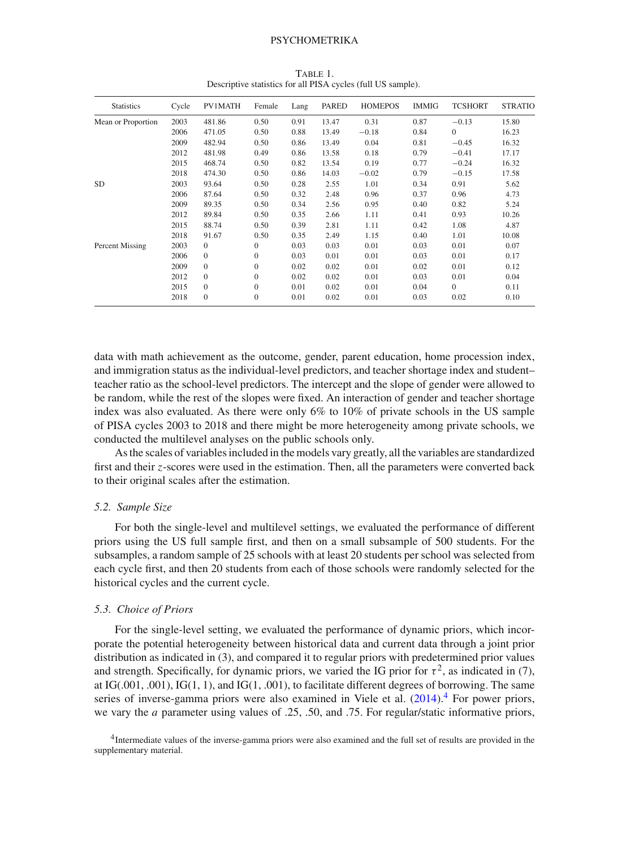| <b>Statistics</b>  | Cycle | <b>PV1MATH</b> | Female       | Lang | PARED | <b>HOMEPOS</b> | <b>IMMIG</b> | <b>TCSHORT</b> | <b>STRATIO</b> |
|--------------------|-------|----------------|--------------|------|-------|----------------|--------------|----------------|----------------|
| Mean or Proportion | 2003  | 481.86         | 0.50         | 0.91 | 13.47 | 0.31           | 0.87         | $-0.13$        | 15.80          |
|                    | 2006  | 471.05         | 0.50         | 0.88 | 13.49 | $-0.18$        | 0.84         | $\Omega$       | 16.23          |
|                    | 2009  | 482.94         | 0.50         | 0.86 | 13.49 | 0.04           | 0.81         | $-0.45$        | 16.32          |
|                    | 2012  | 481.98         | 0.49         | 0.86 | 13.58 | 0.18           | 0.79         | $-0.41$        | 17.17          |
|                    | 2015  | 468.74         | 0.50         | 0.82 | 13.54 | 0.19           | 0.77         | $-0.24$        | 16.32          |
|                    | 2018  | 474.30         | 0.50         | 0.86 | 14.03 | $-0.02$        | 0.79         | $-0.15$        | 17.58          |
| <b>SD</b>          | 2003  | 93.64          | 0.50         | 0.28 | 2.55  | 1.01           | 0.34         | 0.91           | 5.62           |
|                    | 2006  | 87.64          | 0.50         | 0.32 | 2.48  | 0.96           | 0.37         | 0.96           | 4.73           |
|                    | 2009  | 89.35          | 0.50         | 0.34 | 2.56  | 0.95           | 0.40         | 0.82           | 5.24           |
|                    | 2012  | 89.84          | 0.50         | 0.35 | 2.66  | 1.11           | 0.41         | 0.93           | 10.26          |
|                    | 2015  | 88.74          | 0.50         | 0.39 | 2.81  | 1.11           | 0.42         | 1.08           | 4.87           |
|                    | 2018  | 91.67          | 0.50         | 0.35 | 2.49  | 1.15           | 0.40         | 1.01           | 10.08          |
| Percent Missing    | 2003  | $\Omega$       | $\mathbf{0}$ | 0.03 | 0.03  | 0.01           | 0.03         | 0.01           | 0.07           |
|                    | 2006  | $\Omega$       | $\mathbf{0}$ | 0.03 | 0.01  | 0.01           | 0.03         | 0.01           | 0.17           |
|                    | 2009  | $\Omega$       | 0            | 0.02 | 0.02  | 0.01           | 0.02         | 0.01           | 0.12           |
|                    | 2012  | $\Omega$       | $\Omega$     | 0.02 | 0.02  | 0.01           | 0.03         | 0.01           | 0.04           |
|                    | 2015  | $\Omega$       | $\Omega$     | 0.01 | 0.02  | 0.01           | 0.04         | $\Omega$       | 0.11           |
|                    | 2018  | $\Omega$       | $\mathbf{0}$ | 0.01 | 0.02  | 0.01           | 0.03         | 0.02           | 0.10           |

<span id="page-11-0"></span>Table 1. Descriptive statistics for all PISA cycles (full US sample).

data with math achievement as the outcome, gender, parent education, home procession index, and immigration status as the individual-level predictors, and teacher shortage index and student– teacher ratio as the school-level predictors. The intercept and the slope of gender were allowed to be random, while the rest of the slopes were fixed. An interaction of gender and teacher shortage index was also evaluated. As there were only 6% to 10% of private schools in the US sample of PISA cycles 2003 to 2018 and there might be more heterogeneity among private schools, we conducted the multilevel analyses on the public schools only.

As the scales of variables included in the models vary greatly, all the variables are standardized first and their *z*-scores were used in the estimation. Then, all the parameters were converted back to their original scales after the estimation.

#### *5.2. Sample Size*

For both the single-level and multilevel settings, we evaluated the performance of different priors using the US full sample first, and then on a small subsample of 500 students. For the subsamples, a random sample of 25 schools with at least 20 students per school was selected from each cycle first, and then 20 students from each of those schools were randomly selected for the historical cycles and the current cycle.

#### *5.3. Choice of Priors*

For the single-level setting, we evaluated the performance of dynamic priors, which incorporate the potential heterogeneity between historical data and current data through a joint prior distribution as indicated in (3), and compared it to regular priors with predetermined prior values and strength. Specifically, for dynamic priors, we varied the IG prior for  $\tau^2$ , as indicated in (7), at  $IG(.001, .001)$ ,  $IG(1, 1)$ , and  $IG(1, .001)$ , to facilitate different degrees of borrowing. The same series of inverse-gamma priors were also examined in Viele et al.  $(2014).$  $(2014).$ <sup>[4](#page-11-1)</sup> For power priors, we vary the *a* parameter using values of .25, .50, and .75. For regular/static informative priors,

<span id="page-11-1"></span><sup>4</sup>Intermediate values of the inverse-gamma priors were also examined and the full set of results are provided in the supplementary material.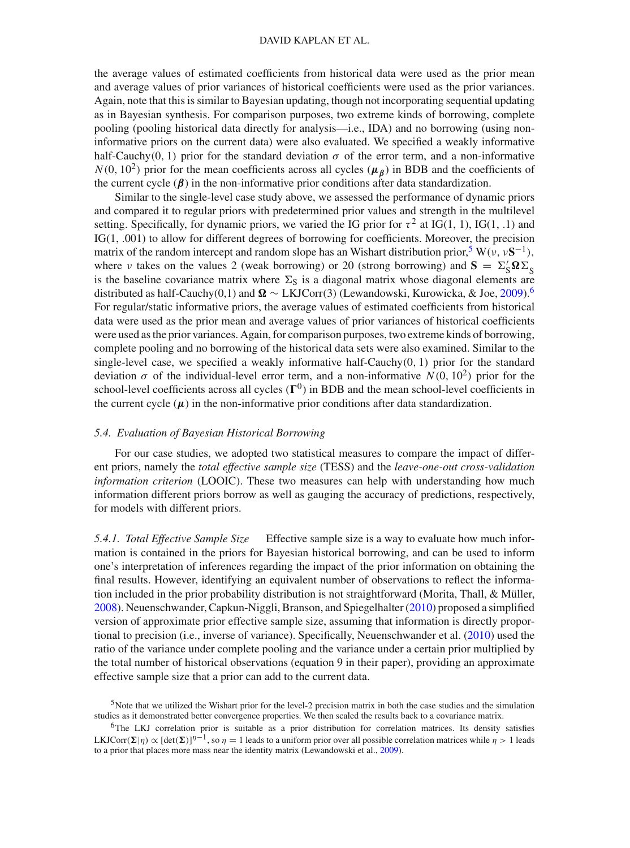the average values of estimated coefficients from historical data were used as the prior mean and average values of prior variances of historical coefficients were used as the prior variances. Again, note that this is similar to Bayesian updating, though not incorporating sequential updating as in Bayesian synthesis. For comparison purposes, two extreme kinds of borrowing, complete pooling (pooling historical data directly for analysis—i.e., IDA) and no borrowing (using noninformative priors on the current data) were also evaluated. We specified a weakly informative half-Cauchy(0, 1) prior for the standard deviation  $\sigma$  of the error term, and a non-informative  $N(0, 10^2)$  prior for the mean coefficients across all cycles ( $\mu_B$ ) in BDB and the coefficients of the current cycle  $(\beta)$  in the non-informative prior conditions after data standardization.

Similar to the single-level case study above, we assessed the performance of dynamic priors and compared it to regular priors with predetermined prior values and strength in the multilevel setting. Specifically, for dynamic priors, we varied the IG prior for  $\tau^2$  at IG(1, 1), IG(1, .1) and IG(1, .001) to allow for different degrees of borrowing for coefficients. Moreover, the precision matrix of the random intercept and random slope has an Wishart distribution prior,<sup>5</sup> W( $v$ ,  $vS^{-1}$ ), where *ν* takes on the values 2 (weak borrowing) or 20 (strong borrowing) and  $\mathbf{S} = \Sigma_S' \mathbf{\Omega} \Sigma_S$ is the baseline covariance matrix where  $\Sigma$ <sub>S</sub> is a diagonal matrix whose diagonal elements are distributed as half-Cauchy(0,1) and  $\Omega \sim LKLCorr(3)$  (Lewandowski, Kurowicka, & Joe, [2009](#page-28-23)).<sup>[6](#page-12-1)</sup> For regular/static informative priors, the average values of estimated coefficients from historical data were used as the prior mean and average values of prior variances of historical coefficients were used as the prior variances. Again, for comparison purposes, two extreme kinds of borrowing, complete pooling and no borrowing of the historical data sets were also examined. Similar to the single-level case, we specified a weakly informative half-Cauchy $(0, 1)$  prior for the standard deviation  $\sigma$  of the individual-level error term, and a non-informative  $N(0, 10^2)$  prior for the school-level coefficients across all cycles  $(\Gamma^0)$  in BDB and the mean school-level coefficients in the current cycle  $(\mu)$  in the non-informative prior conditions after data standardization.

#### *5.4. Evaluation of Bayesian Historical Borrowing*

For our case studies, we adopted two statistical measures to compare the impact of different priors, namely the *total effective sample size* (TESS) and the *leave-one-out cross-validation information criterion* (LOOIC). These two measures can help with understanding how much information different priors borrow as well as gauging the accuracy of predictions, respectively, for models with different priors.

*5.4.1. Total Effective Sample Size* Effective sample size is a way to evaluate how much information is contained in the priors for Bayesian historical borrowing, and can be used to inform one's interpretation of inferences regarding the impact of the prior information on obtaining the final results. However, identifying an equivalent number of observations to reflect the information included in the prior probability distribution is not straightforward (Morita, Thall, & Müller, [2008\)](#page-28-24). Neuenschwander, Capkun-Niggli, Branson, and Spiegelhalter [\(2010\)](#page-28-25) proposed a simplified version of approximate prior effective sample size, assuming that information is directly proportional to precision (i.e., inverse of variance). Specifically, Neuenschwander et al. [\(2010](#page-28-25)) used the ratio of the variance under complete pooling and the variance under a certain prior multiplied by the total number of historical observations (equation 9 in their paper), providing an approximate effective sample size that a prior can add to the current data.

<span id="page-12-0"></span>5Note that we utilized the Wishart prior for the level-2 precision matrix in both the case studies and the simulation studies as it demonstrated better convergence properties. We then scaled the results back to a covariance matrix.

<span id="page-12-1"></span>6The LKJ correlation prior is suitable as a prior distribution for correlation matrices. Its density satisfies LKJCorr $(\Sigma|\eta) \propto [\det(\Sigma)]^{\eta-1}$ , so  $\eta = 1$  leads to a uniform prior over all possible correlation matrices while  $\eta > 1$  leads to a prior that places more mass near the identity matrix (Lewandowski et al., [2009](#page-28-23)).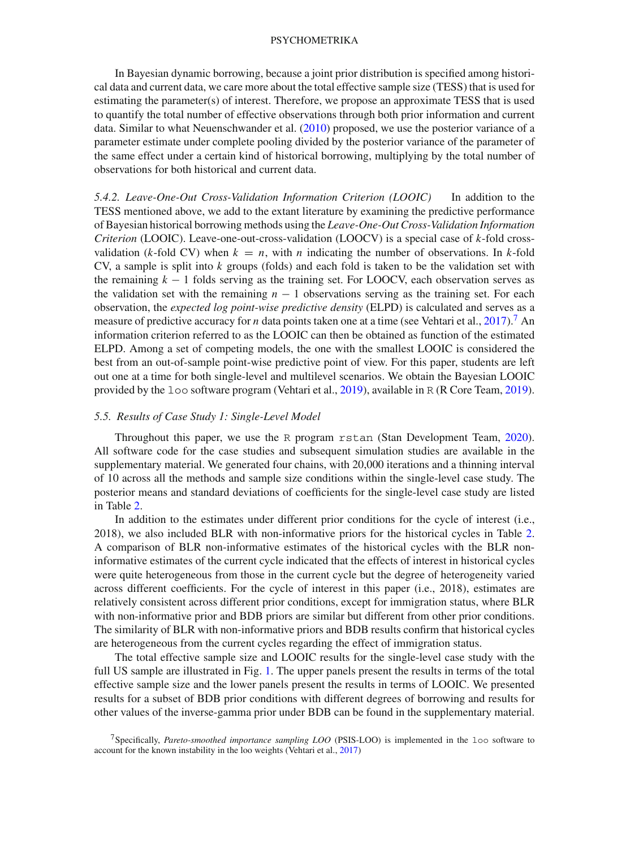In Bayesian dynamic borrowing, because a joint prior distribution is specified among historical data and current data, we care more about the total effective sample size (TESS) that is used for estimating the parameter(s) of interest. Therefore, we propose an approximate TESS that is used to quantify the total number of effective observations through both prior information and current data. Similar to what Neuenschwander et al. [\(2010\)](#page-28-25) proposed, we use the posterior variance of a parameter estimate under complete pooling divided by the posterior variance of the parameter of the same effect under a certain kind of historical borrowing, multiplying by the total number of observations for both historical and current data.

*5.4.2. Leave-One-Out Cross-Validation Information Criterion (LOOIC)* In addition to the TESS mentioned above, we add to the extant literature by examining the predictive performance of Bayesian historical borrowing methods using the *Leave-One-Out Cross-Validation Information Criterion* (LOOIC). Leave-one-out-cross-validation (LOOCV) is a special case of *k*-fold crossvalidation (*k*-fold CV) when  $k = n$ , with *n* indicating the number of observations. In *k*-fold CV, a sample is split into *k* groups (folds) and each fold is taken to be the validation set with the remaining *k* − 1 folds serving as the training set. For LOOCV, each observation serves as the validation set with the remaining  $n - 1$  observations serving as the training set. For each observation, the *expected log point-wise predictive density* (ELPD) is calculated and serves as a measure of predictive accuracy for *n* data points taken one at a time (see Vehtari et al., [2017](#page-28-9)).<sup>[7](#page-13-0)</sup> An information criterion referred to as the LOOIC can then be obtained as function of the estimated ELPD. Among a set of competing models, the one with the smallest LOOIC is considered the best from an out-of-sample point-wise predictive point of view. For this paper, students are left out one at a time for both single-level and multilevel scenarios. We obtain the Bayesian LOOIC provided by the loo software program (Vehtari et al., [2019](#page-28-10)), available in R (R Core Team, [2019\)](#page-28-26).

## *5.5. Results of Case Study 1: Single-Level Model*

Throughout this paper, we use the R program rstan (Stan Development Team, [2020\)](#page-28-27). All software code for the case studies and subsequent simulation studies are available in the supplementary material. We generated four chains, with 20,000 iterations and a thinning interval of 10 across all the methods and sample size conditions within the single-level case study. The posterior means and standard deviations of coefficients for the single-level case study are listed in Table [2.](#page-14-0)

In addition to the estimates under different prior conditions for the cycle of interest (i.e., 2018), we also included BLR with non-informative priors for the historical cycles in Table [2.](#page-14-0) A comparison of BLR non-informative estimates of the historical cycles with the BLR noninformative estimates of the current cycle indicated that the effects of interest in historical cycles were quite heterogeneous from those in the current cycle but the degree of heterogeneity varied across different coefficients. For the cycle of interest in this paper (i.e., 2018), estimates are relatively consistent across different prior conditions, except for immigration status, where BLR with non-informative prior and BDB priors are similar but different from other prior conditions. The similarity of BLR with non-informative priors and BDB results confirm that historical cycles are heterogeneous from the current cycles regarding the effect of immigration status.

The total effective sample size and LOOIC results for the single-level case study with the full US sample are illustrated in Fig. [1.](#page-15-0) The upper panels present the results in terms of the total effective sample size and the lower panels present the results in terms of LOOIC. We presented results for a subset of BDB prior conditions with different degrees of borrowing and results for other values of the inverse-gamma prior under BDB can be found in the supplementary material.

<span id="page-13-0"></span><sup>7</sup>Specifically, *Pareto-smoothed importance sampling LOO* (PSIS-LOO) is implemented in the loo software to account for the known instability in the loo weights (Vehtari et al., [2017](#page-28-9))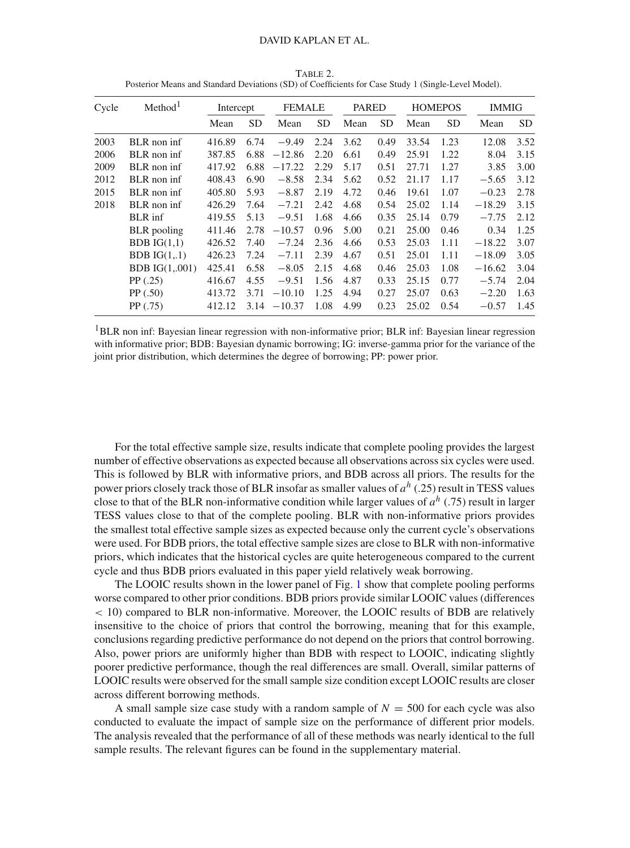| Cycle | Method <sup>1</sup>   | Intercept |           | <b>FEMALE</b> |           | <b>PARED</b> |           | <b>HOMEPOS</b> |           | <b>IMMIG</b> |           |
|-------|-----------------------|-----------|-----------|---------------|-----------|--------------|-----------|----------------|-----------|--------------|-----------|
|       |                       | Mean      | <b>SD</b> | Mean          | <b>SD</b> | Mean         | <b>SD</b> | Mean           | <b>SD</b> | Mean         | <b>SD</b> |
| 2003  | BLR non inf           | 416.89    | 6.74      | $-9.49$       | 2.24      | 3.62         | 0.49      | 33.54          | 1.23      | 12.08        | 3.52      |
| 2006  | BLR non inf           | 387.85    | 6.88      | $-12.86$      | 2.20      | 6.61         | 0.49      | 25.91          | 1.22      | 8.04         | 3.15      |
| 2009  | BLR non inf           | 417.92    | 6.88      | $-17.22$      | 2.29      | 5.17         | 0.51      | 27.71          | 1.27      | 3.85         | 3.00      |
| 2012  | BLR non inf           | 408.43    | 6.90      | $-8.58$       | 2.34      | 5.62         | 0.52      | 21.17          | 1.17      | $-5.65$      | 3.12      |
| 2015  | BLR non inf           | 405.80    | 5.93      | $-8.87$       | 2.19      | 4.72         | 0.46      | 19.61          | 1.07      | $-0.23$      | 2.78      |
| 2018  | BLR non inf           | 426.29    | 7.64      | $-7.21$       | 2.42      | 4.68         | 0.54      | 25.02          | 1.14      | $-18.29$     | 3.15      |
|       | <b>BLR</b> inf        | 419.55    | 5.13      | $-9.51$       | 1.68      | 4.66         | 0.35      | 25.14          | 0.79      | $-7.75$      | 2.12      |
|       | <b>BLR</b> pooling    | 411.46    | 2.78      | $-10.57$      | 0.96      | 5.00         | 0.21      | 25.00          | 0.46      | 0.34         | 1.25      |
|       | BDB $IG(1,1)$         | 426.52    | 7.40      | $-7.24$       | 2.36      | 4.66         | 0.53      | 25.03          | 1.11      | $-18.22$     | 3.07      |
|       | BDB $IG(1,1)$         | 426.23    | 7.24      | $-7.11$       | 2.39      | 4.67         | 0.51      | 25.01          | 1.11      | $-18.09$     | 3.05      |
|       | <b>BDB</b> IG(1,.001) | 425.41    | 6.58      | $-8.05$       | 2.15      | 4.68         | 0.46      | 25.03          | 1.08      | $-16.62$     | 3.04      |
|       | PP(.25)               | 416.67    | 4.55      | $-9.51$       | 1.56      | 4.87         | 0.33      | 25.15          | 0.77      | $-5.74$      | 2.04      |
|       | PP(.50)               | 413.72    | 3.71      | $-10.10$      | 1.25      | 4.94         | 0.27      | 25.07          | 0.63      | $-2.20$      | 1.63      |
|       | PP(.75)               | 412.12    | 3.14      | $-10.37$      | 1.08      | 4.99         | 0.23      | 25.02          | 0.54      | $-0.57$      | 1.45      |
|       |                       |           |           |               |           |              |           |                |           |              |           |

<span id="page-14-0"></span>Table 2. Posterior Means and Standard Deviations (SD) of Coefficients for Case Study 1 (Single-Level Model).

<sup>1</sup>BLR non inf: Bayesian linear regression with non-informative prior; BLR inf: Bayesian linear regression with informative prior; BDB: Bayesian dynamic borrowing; IG: inverse-gamma prior for the variance of the joint prior distribution, which determines the degree of borrowing; PP: power prior.

For the total effective sample size, results indicate that complete pooling provides the largest number of effective observations as expected because all observations across six cycles were used. This is followed by BLR with informative priors, and BDB across all priors. The results for the power priors closely track those of BLR insofar as smaller values of *a<sup>h</sup>* (.25) result in TESS values close to that of the BLR non-informative condition while larger values of *a<sup>h</sup>* (.75) result in larger TESS values close to that of the complete pooling. BLR with non-informative priors provides the smallest total effective sample sizes as expected because only the current cycle's observations were used. For BDB priors, the total effective sample sizes are close to BLR with non-informative priors, which indicates that the historical cycles are quite heterogeneous compared to the current cycle and thus BDB priors evaluated in this paper yield relatively weak borrowing.

The LOOIC results shown in the lower panel of Fig. [1](#page-15-0) show that complete pooling performs worse compared to other prior conditions. BDB priors provide similar LOOIC values (differences < 10) compared to BLR non-informative. Moreover, the LOOIC results of BDB are relatively insensitive to the choice of priors that control the borrowing, meaning that for this example, conclusions regarding predictive performance do not depend on the priors that control borrowing. Also, power priors are uniformly higher than BDB with respect to LOOIC, indicating slightly poorer predictive performance, though the real differences are small. Overall, similar patterns of LOOIC results were observed for the small sample size condition except LOOIC results are closer across different borrowing methods.

A small sample size case study with a random sample of  $N = 500$  for each cycle was also conducted to evaluate the impact of sample size on the performance of different prior models. The analysis revealed that the performance of all of these methods was nearly identical to the full sample results. The relevant figures can be found in the supplementary material.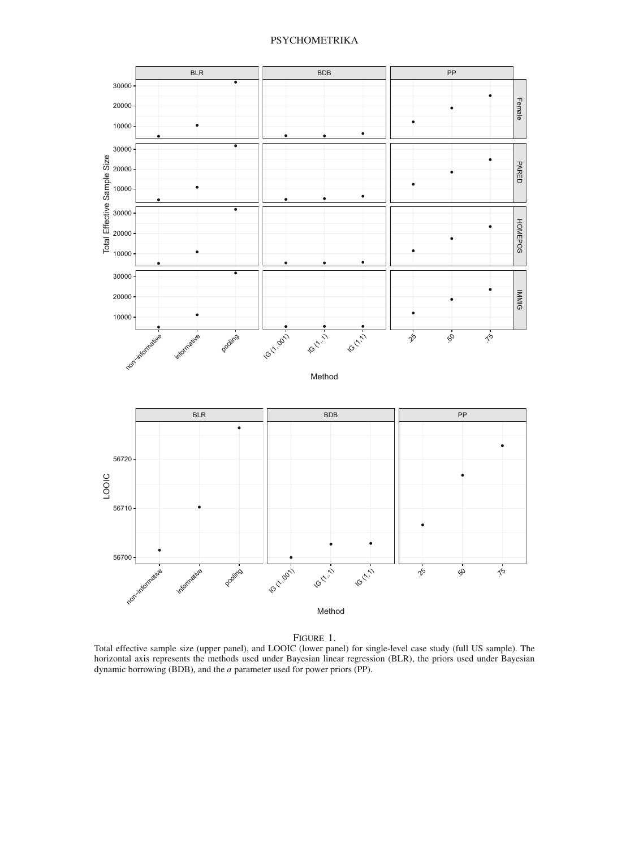

Figure 1.

<span id="page-15-0"></span>Total effective sample size (upper panel), and LOOIC (lower panel) for single-level case study (full US sample). The horizontal axis represents the methods used under Bayesian linear regression (BLR), the priors used under Bayesian dynamic borrowing (BDB), and the *a* parameter used for power priors (PP).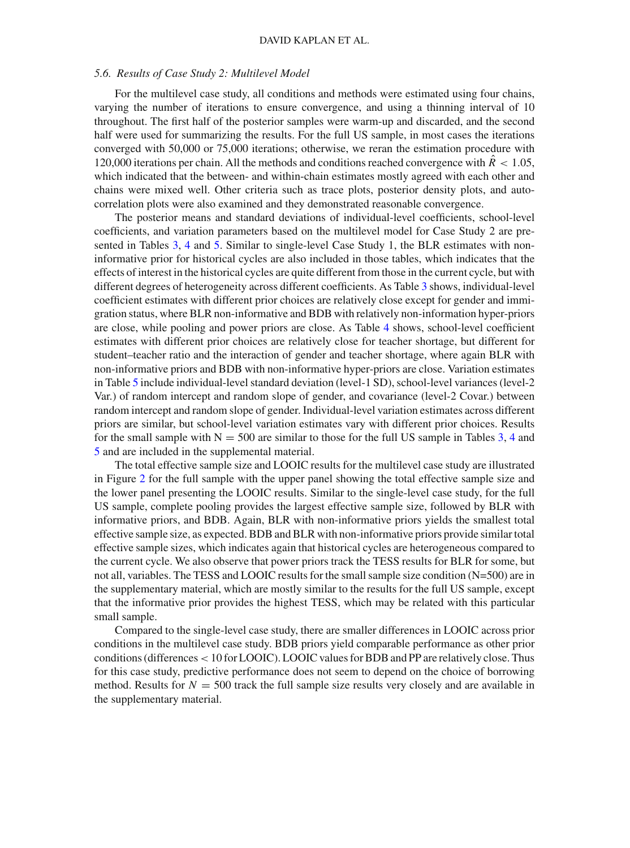#### *5.6. Results of Case Study 2: Multilevel Model*

For the multilevel case study, all conditions and methods were estimated using four chains, varying the number of iterations to ensure convergence, and using a thinning interval of 10 throughout. The first half of the posterior samples were warm-up and discarded, and the second half were used for summarizing the results. For the full US sample, in most cases the iterations converged with 50,000 or 75,000 iterations; otherwise, we reran the estimation procedure with 120,000 iterations per chain. All the methods and conditions reached convergence with  $\ddot{R}$  < 1.05, which indicated that the between- and within-chain estimates mostly agreed with each other and chains were mixed well. Other criteria such as trace plots, posterior density plots, and autocorrelation plots were also examined and they demonstrated reasonable convergence.

The posterior means and standard deviations of individual-level coefficients, school-level coefficients, and variation parameters based on the multilevel model for Case Study 2 are presented in Tables [3,](#page-17-0) [4](#page-18-0) and [5.](#page-19-0) Similar to single-level Case Study 1, the BLR estimates with noninformative prior for historical cycles are also included in those tables, which indicates that the effects of interest in the historical cycles are quite different from those in the current cycle, but with different degrees of heterogeneity across different coefficients. As Table [3](#page-17-0) shows, individual-level coefficient estimates with different prior choices are relatively close except for gender and immigration status, where BLR non-informative and BDB with relatively non-information hyper-priors are close, while pooling and power priors are close. As Table [4](#page-18-0) shows, school-level coefficient estimates with different prior choices are relatively close for teacher shortage, but different for student–teacher ratio and the interaction of gender and teacher shortage, where again BLR with non-informative priors and BDB with non-informative hyper-priors are close. Variation estimates in Table [5](#page-19-0) include individual-level standard deviation (level-1 SD), school-level variances (level-2 Var.) of random intercept and random slope of gender, and covariance (level-2 Covar.) between random intercept and random slope of gender. Individual-level variation estimates across different priors are similar, but school-level variation estimates vary with different prior choices. Results for the small sample with  $N = 500$  are similar to those for the full US sample in Tables [3,](#page-17-0) [4](#page-18-0) and [5](#page-19-0) and are included in the supplemental material.

The total effective sample size and LOOIC results for the multilevel case study are illustrated in Figure [2](#page-21-0) for the full sample with the upper panel showing the total effective sample size and the lower panel presenting the LOOIC results. Similar to the single-level case study, for the full US sample, complete pooling provides the largest effective sample size, followed by BLR with informative priors, and BDB. Again, BLR with non-informative priors yields the smallest total effective sample size, as expected. BDB and BLR with non-informative priors provide similar total effective sample sizes, which indicates again that historical cycles are heterogeneous compared to the current cycle. We also observe that power priors track the TESS results for BLR for some, but not all, variables. The TESS and LOOIC results for the small sample size condition (N=500) are in the supplementary material, which are mostly similar to the results for the full US sample, except that the informative prior provides the highest TESS, which may be related with this particular small sample.

Compared to the single-level case study, there are smaller differences in LOOIC across prior conditions in the multilevel case study. BDB priors yield comparable performance as other prior conditions (differences<10 for LOOIC). LOOIC values for BDB and PP are relatively close. Thus for this case study, predictive performance does not seem to depend on the choice of borrowing method. Results for  $N = 500$  track the full sample size results very closely and are available in the supplementary material.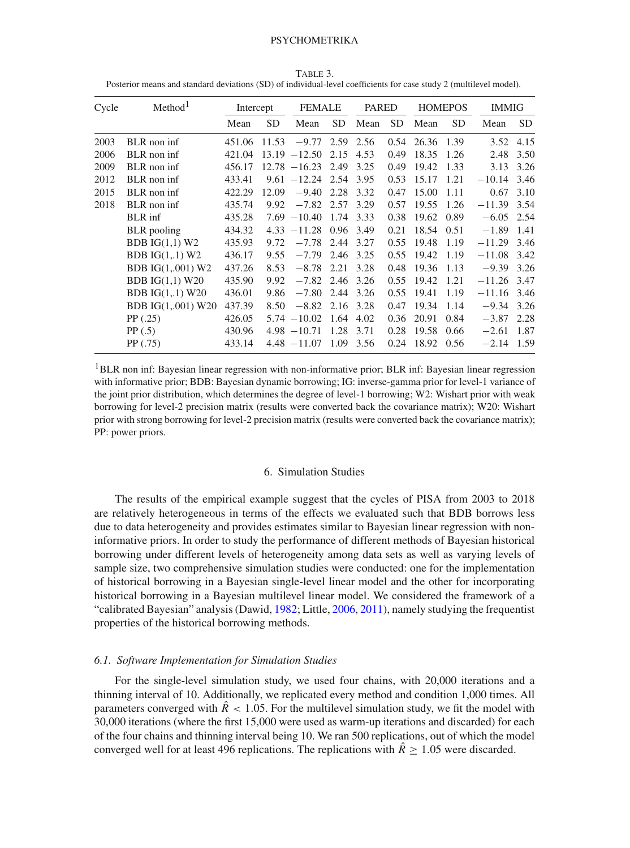<span id="page-17-0"></span>

| Cycle | Method <sup>1</sup>        | Intercept |           | <b>FEMALE</b>   |           | PARED |      |       | <b>HOMEPOS</b> | IMMIG    |           |
|-------|----------------------------|-----------|-----------|-----------------|-----------|-------|------|-------|----------------|----------|-----------|
|       |                            | Mean      | <b>SD</b> | Mean            | <b>SD</b> | Mean  | SD   | Mean  | <b>SD</b>      | Mean     | <b>SD</b> |
| 2003  | BLR non inf                | 451.06    | 11.53     | $-9.77$         | 2.59      | 2.56  | 0.54 | 26.36 | 1.39           | 3.52     | 4.15      |
| 2006  | BLR non inf                | 421.04    | 13.19     | $-12.50$        | 2.15      | 4.53  | 0.49 | 18.35 | 1.26           | 2.48     | 3.50      |
| 2009  | BLR non inf                | 456.17    |           | $12.78 - 16.23$ | 2.49      | 3.25  | 0.49 | 19.42 | 1.33           | 3.13     | 3.26      |
| 2012  | BLR non inf                | 433.41    | 9.61      | $-12.24$        | 2.54      | 3.95  | 0.53 | 15.17 | 1.21           | $-10.14$ | 3.46      |
| 2015  | BLR non inf                | 422.29    | 12.09     | $-9.40$         | 2.28      | 3.32  | 0.47 | 15.00 | 1.11           | 0.67     | 3.10      |
| 2018  | BLR non inf                | 435.74    | 9.92      | $-7.82$         | 2.57      | 3.29  | 0.57 | 19.55 | 1.26           | $-11.39$ | 3.54      |
|       | BLR inf                    | 435.28    |           | $7.69 - 10.40$  | 1.74      | 3.33  | 0.38 | 19.62 | 0.89           | $-6.05$  | 2.54      |
|       | BLR pooling                | 434.32    |           | $4.33 - 11.28$  | 0.96      | 3.49  | 0.21 | 18.54 | 0.51           | $-1.89$  | 1.41      |
|       | BDB $IG(1,1)$ W2           | 435.93    | 9.72      | $-7.78$         | 2.44      | 3.27  | 0.55 | 19.48 | 1.19           | $-11.29$ | 3.46      |
|       | BDB $IG(1,1)$ W2           | 436.17    | 9.55      | $-7.79$         | 2.46      | 3.25  | 0.55 | 19.42 | 1.19           | $-11.08$ | 3.42      |
|       | BDB IG(1,,001) W2          | 437.26    | 8.53      | $-8.78$         | 2.21      | 3.28  | 0.48 | 19.36 | 1.13           | $-9.39$  | 3.26      |
|       | BDB $IG(1,1)$ W20          | 435.90    | 9.92      | $-7.82$         | 2.46      | 3.26  | 0.55 | 19.42 | 1.21           | $-11.26$ | 3.47      |
|       | <b>BDB</b> $IG(1, .1)$ W20 | 436.01    | 9.86      | $-7.80$         | 2.44      | 3.26  | 0.55 | 19.41 | 1.19           | $-11.16$ | 3.46      |
|       | BDB IG(1,,001) W20         | 437.39    | 8.50      | $-8.82$         | 2.16      | 3.28  | 0.47 | 19.34 | 1.14           | $-9.34$  | 3.26      |
|       | PP(.25)                    | 426.05    |           | $5.74 - 10.02$  | 1.64      | 4.02  | 0.36 | 20.91 | 0.84           | $-3.87$  | 2.28      |
|       | PP(.5)                     | 430.96    |           | $4.98 - 10.71$  | 1.28      | 3.71  | 0.28 | 19.58 | 0.66           | $-2.61$  | 1.87      |
|       | PP (.75)                   | 433.14    |           | $4.48 - 11.07$  | 1.09      | 3.56  | 0.24 | 18.92 | 0.56           | $-2.14$  | 1.59      |

Table 3. Posterior means and standard deviations (SD) of individual-level coefficients for case study 2 (multilevel model).

<sup>1</sup>BLR non inf: Bayesian linear regression with non-informative prior; BLR inf: Bayesian linear regression with informative prior; BDB: Bayesian dynamic borrowing; IG: inverse-gamma prior for level-1 variance of the joint prior distribution, which determines the degree of level-1 borrowing; W2: Wishart prior with weak borrowing for level-2 precision matrix (results were converted back the covariance matrix); W20: Wishart prior with strong borrowing for level-2 precision matrix (results were converted back the covariance matrix); PP: power priors.

#### 6. Simulation Studies

The results of the empirical example suggest that the cycles of PISA from 2003 to 2018 are relatively heterogeneous in terms of the effects we evaluated such that BDB borrows less due to data heterogeneity and provides estimates similar to Bayesian linear regression with noninformative priors. In order to study the performance of different methods of Bayesian historical borrowing under different levels of heterogeneity among data sets as well as varying levels of sample size, two comprehensive simulation studies were conducted: one for the implementation of historical borrowing in a Bayesian single-level linear model and the other for incorporating historical borrowing in a Bayesian multilevel linear model. We considered the framework of a "calibrated Bayesian" analysis (Dawid, [1982](#page-27-15); Little, [2006,](#page-28-28) [2011\)](#page-28-29), namely studying the frequentist properties of the historical borrowing methods.

#### *6.1. Software Implementation for Simulation Studies*

For the single-level simulation study, we used four chains, with 20,000 iterations and a thinning interval of 10. Additionally, we replicated every method and condition 1,000 times. All parameters converged with  $\hat{R}$  < 1.05. For the multilevel simulation study, we fit the model with 30,000 iterations (where the first 15,000 were used as warm-up iterations and discarded) for each of the four chains and thinning interval being 10. We ran 500 replications, out of which the model converged well for at least 496 replications. The replications with  $\hat{R} > 1.05$  were discarded.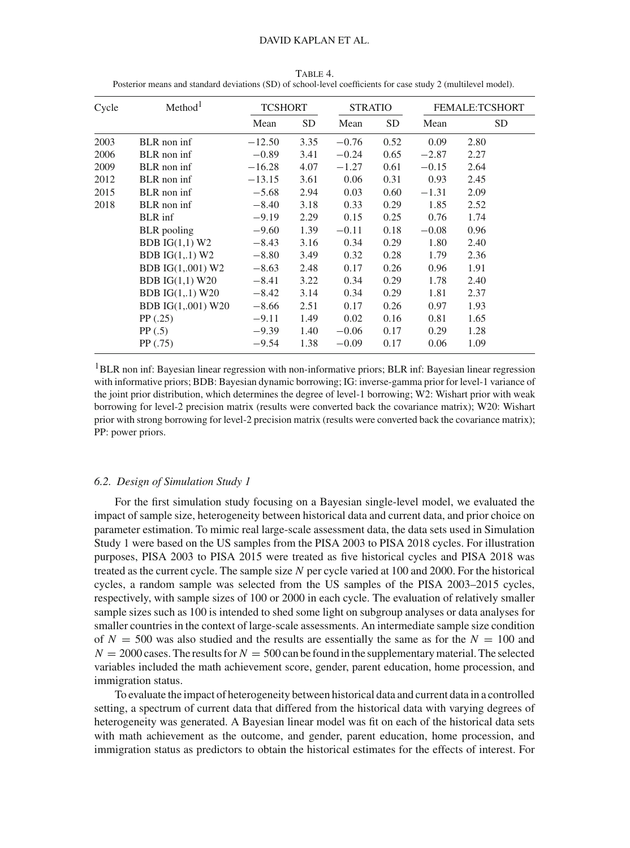| Method <sup>1</sup><br>Cycle |                    | <b>TCSHORT</b> |      | <b>STRATIO</b> |      | <b>FEMALE:TCSHORT</b> |      |  |
|------------------------------|--------------------|----------------|------|----------------|------|-----------------------|------|--|
|                              |                    | Mean           | SD   | Mean           | SD   | Mean                  | SD.  |  |
| 2003                         | BLR non inf        | $-12.50$       | 3.35 | $-0.76$        | 0.52 | 0.09                  | 2.80 |  |
| 2006                         | BLR non inf        | $-0.89$        | 3.41 | $-0.24$        | 0.65 | $-2.87$               | 2.27 |  |
| 2009                         | BLR non inf        | $-16.28$       | 4.07 | $-1.27$        | 0.61 | $-0.15$               | 2.64 |  |
| 2012                         | BLR non inf        | $-13.15$       | 3.61 | 0.06           | 0.31 | 0.93                  | 2.45 |  |
| 2015                         | BLR non inf        | $-5.68$        | 2.94 | 0.03           | 0.60 | $-1.31$               | 2.09 |  |
| 2018                         | BLR non inf        | $-8.40$        | 3.18 | 0.33           | 0.29 | 1.85                  | 2.52 |  |
|                              | BLR inf            | $-9.19$        | 2.29 | 0.15           | 0.25 | 0.76                  | 1.74 |  |
|                              | <b>BLR</b> pooling | $-9.60$        | 1.39 | $-0.11$        | 0.18 | $-0.08$               | 0.96 |  |
|                              | BDB $IG(1,1)$ W2   | $-8.43$        | 3.16 | 0.34           | 0.29 | 1.80                  | 2.40 |  |
|                              | BDB $IG(1, .1)$ W2 | $-8.80$        | 3.49 | 0.32           | 0.28 | 1.79                  | 2.36 |  |
|                              | BDB IG(1,,001) W2  | $-8.63$        | 2.48 | 0.17           | 0.26 | 0.96                  | 1.91 |  |
|                              | BDB $IG(1,1)$ W20  | $-8.41$        | 3.22 | 0.34           | 0.29 | 1.78                  | 2.40 |  |
|                              | BDB $IG(1, 1)$ W20 | $-8.42$        | 3.14 | 0.34           | 0.29 | 1.81                  | 2.37 |  |
|                              | BDB IG(1,,001) W20 | $-8.66$        | 2.51 | 0.17           | 0.26 | 0.97                  | 1.93 |  |
|                              | PP(.25)            | $-9.11$        | 1.49 | 0.02           | 0.16 | 0.81                  | 1.65 |  |
|                              | PP(.5)             | $-9.39$        | 1.40 | $-0.06$        | 0.17 | 0.29                  | 1.28 |  |
|                              | PP(.75)            | $-9.54$        | 1.38 | $-0.09$        | 0.17 | 0.06                  | 1.09 |  |

<span id="page-18-0"></span>Table 4. Posterior means and standard deviations (SD) of school-level coefficients for case study 2 (multilevel model).

<sup>1</sup>BLR non inf: Bayesian linear regression with non-informative priors; BLR inf: Bayesian linear regression with informative priors; BDB: Bayesian dynamic borrowing; IG: inverse-gamma prior for level-1 variance of the joint prior distribution, which determines the degree of level-1 borrowing; W2: Wishart prior with weak borrowing for level-2 precision matrix (results were converted back the covariance matrix); W20: Wishart prior with strong borrowing for level-2 precision matrix (results were converted back the covariance matrix); PP: power priors.

#### *6.2. Design of Simulation Study 1*

For the first simulation study focusing on a Bayesian single-level model, we evaluated the impact of sample size, heterogeneity between historical data and current data, and prior choice on parameter estimation. To mimic real large-scale assessment data, the data sets used in Simulation Study 1 were based on the US samples from the PISA 2003 to PISA 2018 cycles. For illustration purposes, PISA 2003 to PISA 2015 were treated as five historical cycles and PISA 2018 was treated as the current cycle. The sample size *N* per cycle varied at 100 and 2000. For the historical cycles, a random sample was selected from the US samples of the PISA 2003–2015 cycles, respectively, with sample sizes of 100 or 2000 in each cycle. The evaluation of relatively smaller sample sizes such as 100 is intended to shed some light on subgroup analyses or data analyses for smaller countries in the context of large-scale assessments. An intermediate sample size condition of  $N = 500$  was also studied and the results are essentially the same as for the  $N = 100$  and  $N = 2000$  cases. The results for  $N = 500$  can be found in the supplementary material. The selected variables included the math achievement score, gender, parent education, home procession, and immigration status.

To evaluate the impact of heterogeneity between historical data and current data in a controlled setting, a spectrum of current data that differed from the historical data with varying degrees of heterogeneity was generated. A Bayesian linear model was fit on each of the historical data sets with math achievement as the outcome, and gender, parent education, home procession, and immigration status as predictors to obtain the historical estimates for the effects of interest. For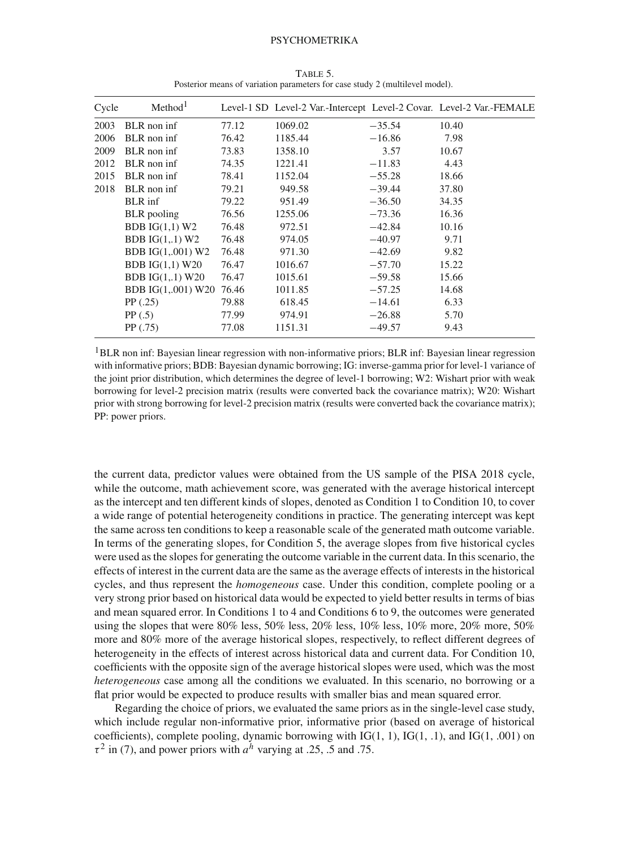| Cycle | Method <sup>1</sup> |       |         |          | Level-1 SD Level-2 Var.-Intercept Level-2 Covar. Level-2 Var.-FEMALE |
|-------|---------------------|-------|---------|----------|----------------------------------------------------------------------|
| 2003  | BLR non inf         | 77.12 | 1069.02 | $-35.54$ | 10.40                                                                |
| 2006  | BLR non inf         | 76.42 | 1185.44 | $-16.86$ | 7.98                                                                 |
| 2009  | BLR non inf         | 73.83 | 1358.10 | 3.57     | 10.67                                                                |
| 2012  | BLR non inf         | 74.35 | 1221.41 | $-11.83$ | 4.43                                                                 |
| 2015  | BLR non inf         | 78.41 | 1152.04 | $-55.28$ | 18.66                                                                |
| 2018  | BLR non inf         | 79.21 | 949.58  | $-39.44$ | 37.80                                                                |
|       | BLR inf             | 79.22 | 951.49  | $-36.50$ | 34.35                                                                |
|       | BLR pooling         | 76.56 | 1255.06 | $-73.36$ | 16.36                                                                |
|       | BDB $IG(1,1)$ W2    | 76.48 | 972.51  | $-42.84$ | 10.16                                                                |
|       | BDB $IG(1,1)$ W2    | 76.48 | 974.05  | $-40.97$ | 9.71                                                                 |
|       | BDB IG(1,,001) W2   | 76.48 | 971.30  | $-42.69$ | 9.82                                                                 |
|       | BDB $IG(1,1)$ W20   | 76.47 | 1016.67 | $-57.70$ | 15.22                                                                |
|       | BDB $IG(1, 1)$ W20  | 76.47 | 1015.61 | $-59.58$ | 15.66                                                                |
|       | BDB IG(1,,001) W20  | 76.46 | 1011.85 | $-57.25$ | 14.68                                                                |
|       | PP(.25)             | 79.88 | 618.45  | $-14.61$ | 6.33                                                                 |
|       | PP(.5)              | 77.99 | 974.91  | $-26.88$ | 5.70                                                                 |
|       | PP(.75)             | 77.08 | 1151.31 | $-49.57$ | 9.43                                                                 |

<span id="page-19-0"></span>Table 5. Posterior means of variation parameters for case study 2 (multilevel model).

<sup>1</sup>BLR non inf: Bayesian linear regression with non-informative priors; BLR inf: Bayesian linear regression with informative priors; BDB: Bayesian dynamic borrowing; IG: inverse-gamma prior for level-1 variance of the joint prior distribution, which determines the degree of level-1 borrowing; W2: Wishart prior with weak borrowing for level-2 precision matrix (results were converted back the covariance matrix); W20: Wishart prior with strong borrowing for level-2 precision matrix (results were converted back the covariance matrix); PP: power priors.

the current data, predictor values were obtained from the US sample of the PISA 2018 cycle, while the outcome, math achievement score, was generated with the average historical intercept as the intercept and ten different kinds of slopes, denoted as Condition 1 to Condition 10, to cover a wide range of potential heterogeneity conditions in practice. The generating intercept was kept the same across ten conditions to keep a reasonable scale of the generated math outcome variable. In terms of the generating slopes, for Condition 5, the average slopes from five historical cycles were used as the slopes for generating the outcome variable in the current data. In this scenario, the effects of interest in the current data are the same as the average effects of interests in the historical cycles, and thus represent the *homogeneous* case. Under this condition, complete pooling or a very strong prior based on historical data would be expected to yield better results in terms of bias and mean squared error. In Conditions 1 to 4 and Conditions 6 to 9, the outcomes were generated using the slopes that were 80% less, 50% less, 20% less, 10% less, 10% more, 20% more, 50% more and 80% more of the average historical slopes, respectively, to reflect different degrees of heterogeneity in the effects of interest across historical data and current data. For Condition 10, coefficients with the opposite sign of the average historical slopes were used, which was the most *heterogeneous* case among all the conditions we evaluated. In this scenario, no borrowing or a flat prior would be expected to produce results with smaller bias and mean squared error.

Regarding the choice of priors, we evaluated the same priors as in the single-level case study, which include regular non-informative prior, informative prior (based on average of historical coefficients), complete pooling, dynamic borrowing with  $IG(1, 1)$ ,  $IG(1, .1)$ , and  $IG(1, .001)$  on  $\tau^2$  in (7), and power priors with  $a^h$  varying at .25, .5 and .75.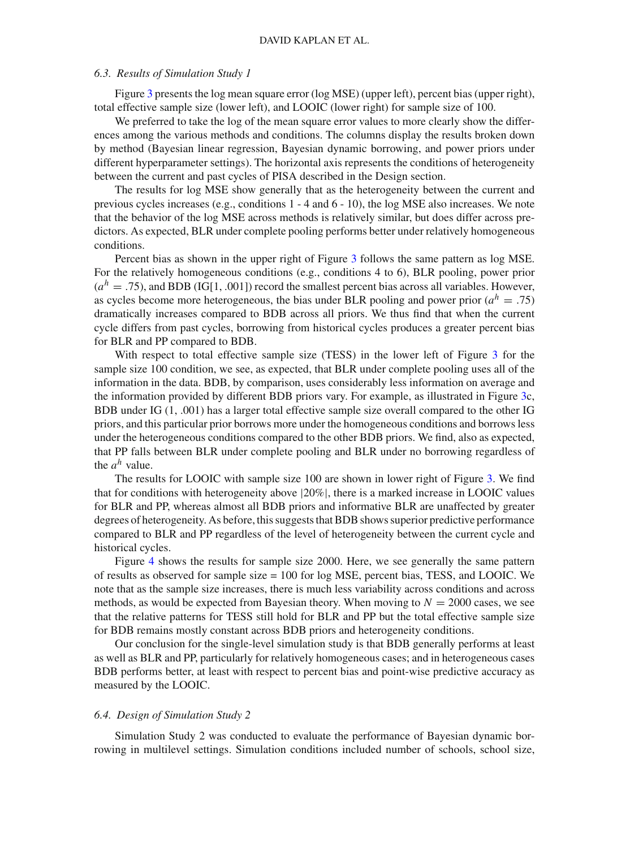### *6.3. Results of Simulation Study 1*

Figure [3](#page-22-0) presents the log mean square error (log MSE) (upper left), percent bias (upper right), total effective sample size (lower left), and LOOIC (lower right) for sample size of 100.

We preferred to take the log of the mean square error values to more clearly show the differences among the various methods and conditions. The columns display the results broken down by method (Bayesian linear regression, Bayesian dynamic borrowing, and power priors under different hyperparameter settings). The horizontal axis represents the conditions of heterogeneity between the current and past cycles of PISA described in the Design section.

The results for log MSE show generally that as the heterogeneity between the current and previous cycles increases (e.g., conditions 1 - 4 and 6 - 10), the log MSE also increases. We note that the behavior of the log MSE across methods is relatively similar, but does differ across predictors. As expected, BLR under complete pooling performs better under relatively homogeneous conditions.

Percent bias as shown in the upper right of Figure [3](#page-22-0) follows the same pattern as log MSE. For the relatively homogeneous conditions (e.g., conditions 4 to 6), BLR pooling, power prior  $(a<sup>h</sup> = .75)$ , and BDB (IG[1, .001]) record the smallest percent bias across all variables. However, as cycles become more heterogeneous, the bias under BLR pooling and power prior  $(a^h = .75)$ dramatically increases compared to BDB across all priors. We thus find that when the current cycle differs from past cycles, borrowing from historical cycles produces a greater percent bias for BLR and PP compared to BDB.

With respect to total effective sample size (TESS) in the lower left of Figure [3](#page-22-0) for the sample size 100 condition, we see, as expected, that BLR under complete pooling uses all of the information in the data. BDB, by comparison, uses considerably less information on average and the information provided by different BDB priors vary. For example, as illustrated in Figure [3c](#page-22-0), BDB under IG (1, .001) has a larger total effective sample size overall compared to the other IG priors, and this particular prior borrows more under the homogeneous conditions and borrows less under the heterogeneous conditions compared to the other BDB priors. We find, also as expected, that PP falls between BLR under complete pooling and BLR under no borrowing regardless of the  $a^h$  value.

The results for LOOIC with sample size 100 are shown in lower right of Figure [3.](#page-22-0) We find that for conditions with heterogeneity above |20%|, there is a marked increase in LOOIC values for BLR and PP, whereas almost all BDB priors and informative BLR are unaffected by greater degrees of heterogeneity. As before, this suggests that BDB shows superior predictive performance compared to BLR and PP regardless of the level of heterogeneity between the current cycle and historical cycles.

Figure [4](#page-23-0) shows the results for sample size 2000. Here, we see generally the same pattern of results as observed for sample size = 100 for log MSE, percent bias, TESS, and LOOIC. We note that as the sample size increases, there is much less variability across conditions and across methods, as would be expected from Bayesian theory. When moving to  $N = 2000$  cases, we see that the relative patterns for TESS still hold for BLR and PP but the total effective sample size for BDB remains mostly constant across BDB priors and heterogeneity conditions.

Our conclusion for the single-level simulation study is that BDB generally performs at least as well as BLR and PP, particularly for relatively homogeneous cases; and in heterogeneous cases BDB performs better, at least with respect to percent bias and point-wise predictive accuracy as measured by the LOOIC.

#### *6.4. Design of Simulation Study 2*

Simulation Study 2 was conducted to evaluate the performance of Bayesian dynamic borrowing in multilevel settings. Simulation conditions included number of schools, school size,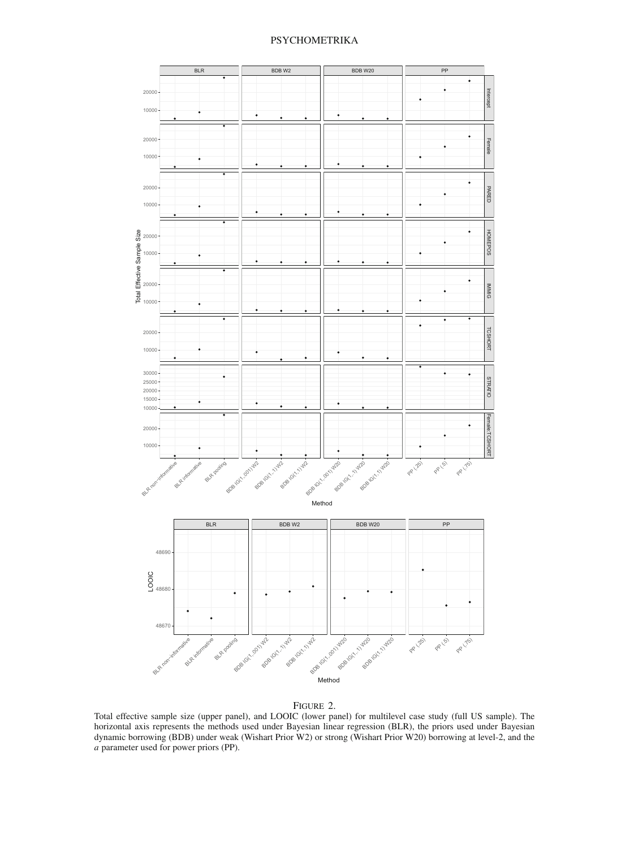

Figure 2.

<span id="page-21-0"></span>Total effective sample size (upper panel), and LOOIC (lower panel) for multilevel case study (full US sample). The horizontal axis represents the methods used under Bayesian linear regression (BLR), the priors used under Bayesian dynamic borrowing (BDB) under weak (Wishart Prior W2) or strong (Wishart Prior W20) borrowing at level-2, and the *a* parameter used for power priors (PP).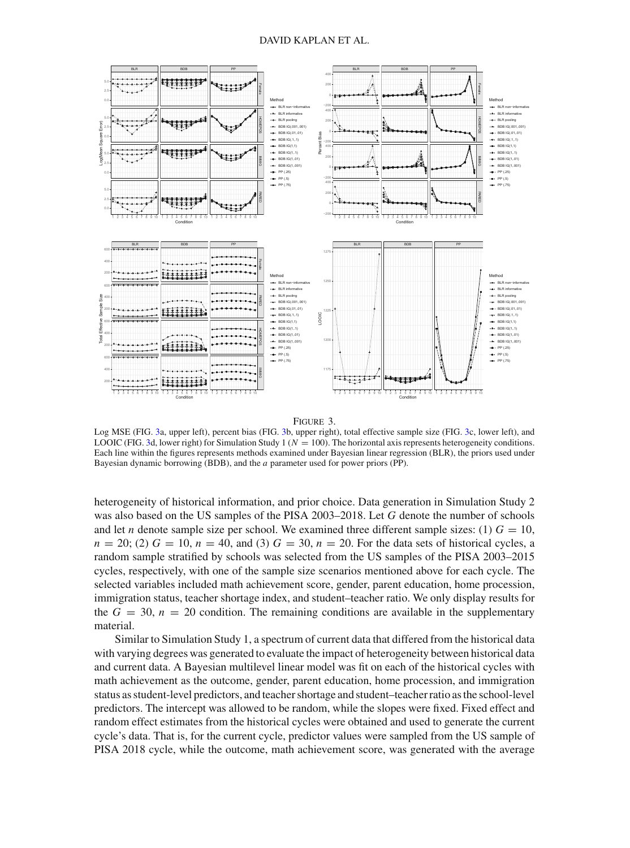



<span id="page-22-0"></span>Log MSE (FIG. [3a](#page-22-0), upper left), percent bias (FIG. [3b](#page-22-0), upper right), total effective sample size (FIG. [3c](#page-22-0), lower left), and LOOIC (FIG. [3d](#page-22-0), lower right) for Simulation Study 1 ( $N = 100$ ). The horizontal axis represents heterogeneity conditions. Each line within the figures represents methods examined under Bayesian linear regression (BLR), the priors used under Bayesian dynamic borrowing (BDB), and the *a* parameter used for power priors (PP).

heterogeneity of historical information, and prior choice. Data generation in Simulation Study 2 was also based on the US samples of the PISA 2003–2018. Let *G* denote the number of schools and let *n* denote sample size per school. We examined three different sample sizes: (1)  $G = 10$ ,  $n = 20$ ; (2)  $G = 10$ ,  $n = 40$ , and (3)  $G = 30$ ,  $n = 20$ . For the data sets of historical cycles, a random sample stratified by schools was selected from the US samples of the PISA 2003–2015 cycles, respectively, with one of the sample size scenarios mentioned above for each cycle. The selected variables included math achievement score, gender, parent education, home procession, immigration status, teacher shortage index, and student–teacher ratio. We only display results for the  $G = 30$ ,  $n = 20$  condition. The remaining conditions are available in the supplementary material.

Similar to Simulation Study 1, a spectrum of current data that differed from the historical data with varying degrees was generated to evaluate the impact of heterogeneity between historical data and current data. A Bayesian multilevel linear model was fit on each of the historical cycles with math achievement as the outcome, gender, parent education, home procession, and immigration status as student-level predictors, and teacher shortage and student–teacher ratio as the school-level predictors. The intercept was allowed to be random, while the slopes were fixed. Fixed effect and random effect estimates from the historical cycles were obtained and used to generate the current cycle's data. That is, for the current cycle, predictor values were sampled from the US sample of PISA 2018 cycle, while the outcome, math achievement score, was generated with the average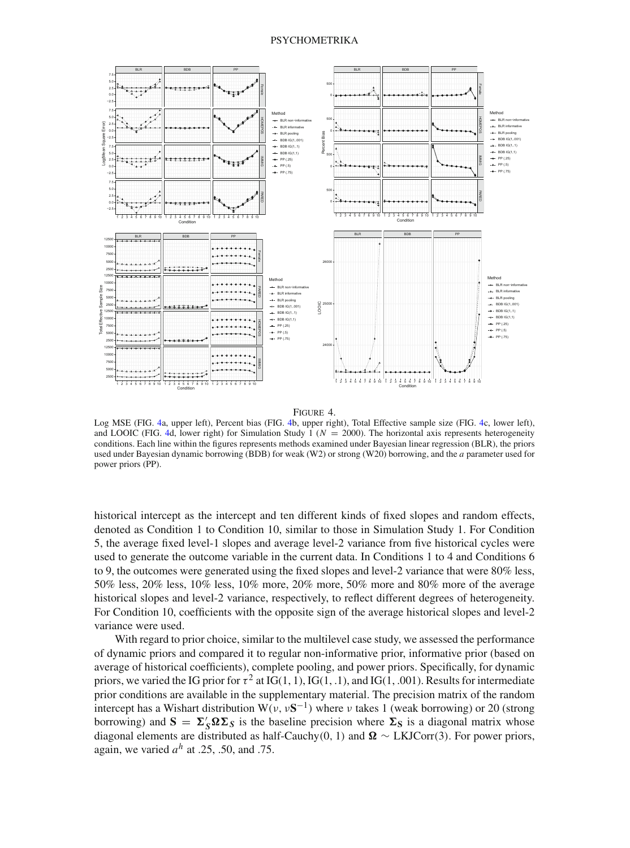

Figure 4.

<span id="page-23-0"></span>Log MSE (FIG. [4a](#page-23-0), upper left), Percent bias (FIG. [4b](#page-23-0), upper right), Total Effective sample size (FIG. [4c](#page-23-0), lower left), and LOOIC (FIG. [4d](#page-23-0), lower right) for Simulation Study 1 ( $N = 2000$ ). The horizontal axis represents heterogeneity conditions. Each line within the figures represents methods examined under Bayesian linear regression (BLR), the priors used under Bayesian dynamic borrowing (BDB) for weak (W2) or strong (W20) borrowing, and the *a* parameter used for power priors (PP).

historical intercept as the intercept and ten different kinds of fixed slopes and random effects, denoted as Condition 1 to Condition 10, similar to those in Simulation Study 1. For Condition 5, the average fixed level-1 slopes and average level-2 variance from five historical cycles were used to generate the outcome variable in the current data. In Conditions 1 to 4 and Conditions 6 to 9, the outcomes were generated using the fixed slopes and level-2 variance that were 80% less, 50% less, 20% less, 10% less, 10% more, 20% more, 50% more and 80% more of the average historical slopes and level-2 variance, respectively, to reflect different degrees of heterogeneity. For Condition 10, coefficients with the opposite sign of the average historical slopes and level-2 variance were used.

With regard to prior choice, similar to the multilevel case study, we assessed the performance of dynamic priors and compared it to regular non-informative prior, informative prior (based on average of historical coefficients), complete pooling, and power priors. Specifically, for dynamic priors, we varied the IG prior for  $\tau^2$  at IG(1, 1), IG(1, .1), and IG(1, .001). Results for intermediate prior conditions are available in the supplementary material. The precision matrix of the random intercept has a Wishart distribution W( $v, vS^{-1}$ ) where v takes 1 (weak borrowing) or 20 (strong borrowing) and  $S = \Sigma_S' \Omega \Sigma_S$  is the baseline precision where  $\Sigma_S$  is a diagonal matrix whose diagonal elements are distributed as half-Cauchy(0, 1) and  $\Omega \sim LKJCorr(3)$ . For power priors, again, we varied  $a^h$  at .25, .50, and .75.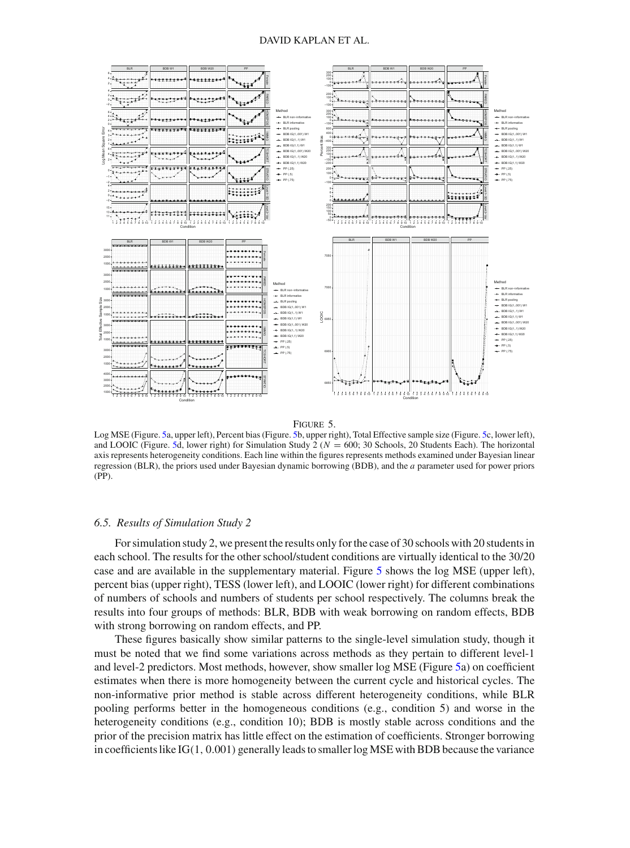

#### Figure 5.

<span id="page-24-0"></span>Log MSE (Figure. [5a](#page-24-0), upper left), Percent bias (Figure. [5b](#page-24-0), upper right), Total Effective sample size (Figure. [5c](#page-24-0), lower left), and LOOIC (Figure. [5d](#page-24-0), lower right) for Simulation Study  $2 (N = 600; 30$  Schools, 20 Students Each). The horizontal axis represents heterogeneity conditions. Each line within the figures represents methods examined under Bayesian linear regression (BLR), the priors used under Bayesian dynamic borrowing (BDB), and the *a* parameter used for power priors (PP).

#### *6.5. Results of Simulation Study 2*

For simulation study 2, we present the results only for the case of 30 schools with 20 students in each school. The results for the other school/student conditions are virtually identical to the 30/20 case and are available in the supplementary material. Figure [5](#page-24-0) shows the log MSE (upper left), percent bias (upper right), TESS (lower left), and LOOIC (lower right) for different combinations of numbers of schools and numbers of students per school respectively. The columns break the results into four groups of methods: BLR, BDB with weak borrowing on random effects, BDB with strong borrowing on random effects, and PP.

These figures basically show similar patterns to the single-level simulation study, though it must be noted that we find some variations across methods as they pertain to different level-1 and level-2 predictors. Most methods, however, show smaller log MSE (Figure [5a](#page-24-0)) on coefficient estimates when there is more homogeneity between the current cycle and historical cycles. The non-informative prior method is stable across different heterogeneity conditions, while BLR pooling performs better in the homogeneous conditions (e.g., condition 5) and worse in the heterogeneity conditions (e.g., condition 10); BDB is mostly stable across conditions and the prior of the precision matrix has little effect on the estimation of coefficients. Stronger borrowing in coefficients like  $IG(1, 0.001)$  generally leads to smaller log MSE with BDB because the variance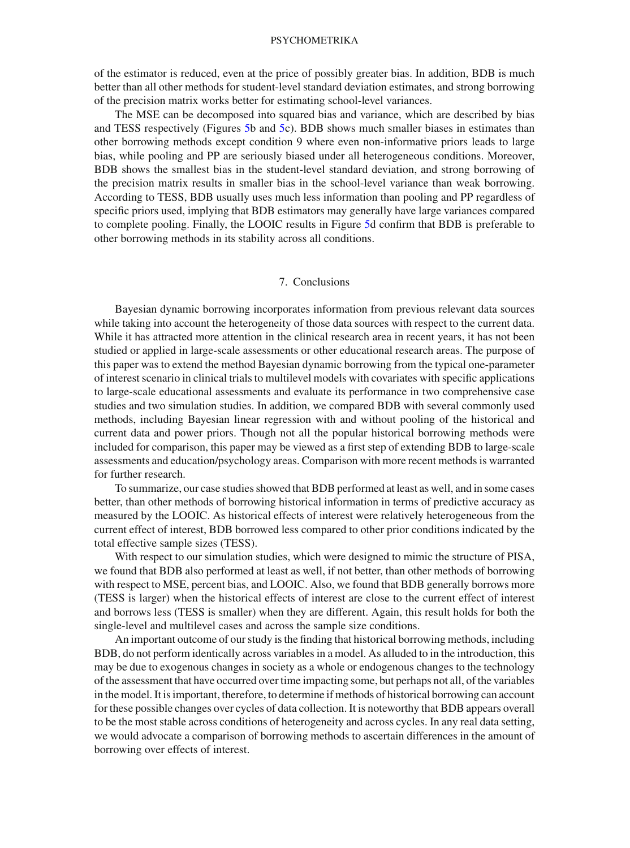of the estimator is reduced, even at the price of possibly greater bias. In addition, BDB is much better than all other methods for student-level standard deviation estimates, and strong borrowing of the precision matrix works better for estimating school-level variances.

The MSE can be decomposed into squared bias and variance, which are described by bias and TESS respectively (Figures [5b](#page-24-0) and [5c](#page-24-0)). BDB shows much smaller biases in estimates than other borrowing methods except condition 9 where even non-informative priors leads to large bias, while pooling and PP are seriously biased under all heterogeneous conditions. Moreover, BDB shows the smallest bias in the student-level standard deviation, and strong borrowing of the precision matrix results in smaller bias in the school-level variance than weak borrowing. According to TESS, BDB usually uses much less information than pooling and PP regardless of specific priors used, implying that BDB estimators may generally have large variances compared to complete pooling. Finally, the LOOIC results in Figure [5d](#page-24-0) confirm that BDB is preferable to other borrowing methods in its stability across all conditions.

## 7. Conclusions

Bayesian dynamic borrowing incorporates information from previous relevant data sources while taking into account the heterogeneity of those data sources with respect to the current data. While it has attracted more attention in the clinical research area in recent years, it has not been studied or applied in large-scale assessments or other educational research areas. The purpose of this paper was to extend the method Bayesian dynamic borrowing from the typical one-parameter of interest scenario in clinical trials to multilevel models with covariates with specific applications to large-scale educational assessments and evaluate its performance in two comprehensive case studies and two simulation studies. In addition, we compared BDB with several commonly used methods, including Bayesian linear regression with and without pooling of the historical and current data and power priors. Though not all the popular historical borrowing methods were included for comparison, this paper may be viewed as a first step of extending BDB to large-scale assessments and education/psychology areas. Comparison with more recent methods is warranted for further research.

To summarize, our case studies showed that BDB performed at least as well, and in some cases better, than other methods of borrowing historical information in terms of predictive accuracy as measured by the LOOIC. As historical effects of interest were relatively heterogeneous from the current effect of interest, BDB borrowed less compared to other prior conditions indicated by the total effective sample sizes (TESS).

With respect to our simulation studies, which were designed to mimic the structure of PISA, we found that BDB also performed at least as well, if not better, than other methods of borrowing with respect to MSE, percent bias, and LOOIC. Also, we found that BDB generally borrows more (TESS is larger) when the historical effects of interest are close to the current effect of interest and borrows less (TESS is smaller) when they are different. Again, this result holds for both the single-level and multilevel cases and across the sample size conditions.

An important outcome of our study is the finding that historical borrowing methods, including BDB, do not perform identically across variables in a model. As alluded to in the introduction, this may be due to exogenous changes in society as a whole or endogenous changes to the technology of the assessment that have occurred over time impacting some, but perhaps not all, of the variables in the model. It is important, therefore, to determine if methods of historical borrowing can account for these possible changes over cycles of data collection. It is noteworthy that BDB appears overall to be the most stable across conditions of heterogeneity and across cycles. In any real data setting, we would advocate a comparison of borrowing methods to ascertain differences in the amount of borrowing over effects of interest.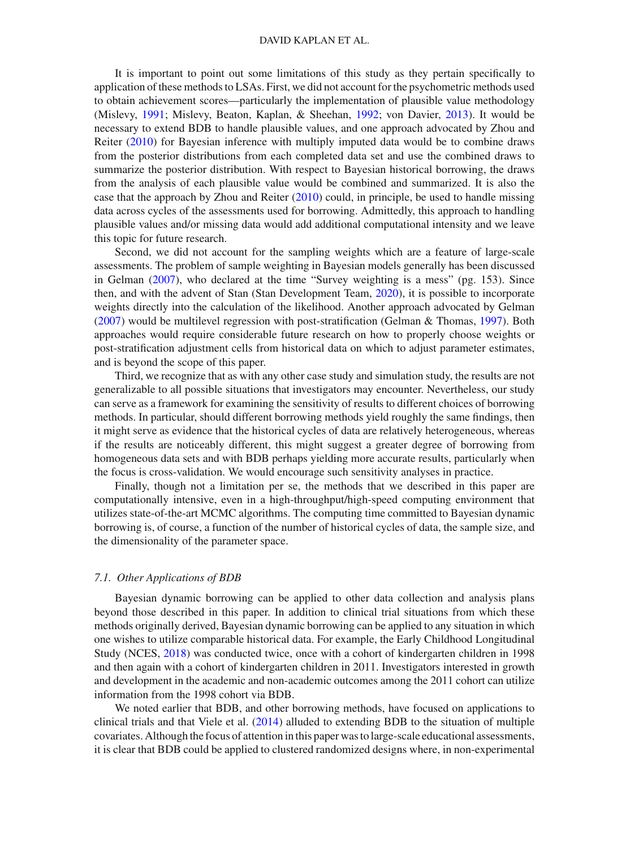It is important to point out some limitations of this study as they pertain specifically to application of these methods to LSAs. First, we did not account for the psychometric methods used to obtain achievement scores—particularly the implementation of plausible value methodology (Mislevy, [1991](#page-28-30); Mislevy, Beaton, Kaplan, & Sheehan, [1992](#page-28-31); von Davier, [2013\)](#page-29-0). It would be necessary to extend BDB to handle plausible values, and one approach advocated by Zhou and Reiter [\(2010](#page-29-1)) for Bayesian inference with multiply imputed data would be to combine draws from the posterior distributions from each completed data set and use the combined draws to summarize the posterior distribution. With respect to Bayesian historical borrowing, the draws from the analysis of each plausible value would be combined and summarized. It is also the case that the approach by Zhou and Reiter [\(2010\)](#page-29-1) could, in principle, be used to handle missing data across cycles of the assessments used for borrowing. Admittedly, this approach to handling plausible values and/or missing data would add additional computational intensity and we leave this topic for future research.

Second, we did not account for the sampling weights which are a feature of large-scale assessments. The problem of sample weighting in Bayesian models generally has been discussed in Gelman [\(2007](#page-27-16)), who declared at the time "Survey weighting is a mess" (pg. 153). Since then, and with the advent of Stan (Stan Development Team, [2020](#page-28-27)), it is possible to incorporate weights directly into the calculation of the likelihood. Another approach advocated by Gelman [\(2007](#page-27-16)) would be multilevel regression with post-stratification (Gelman & Thomas, [1997\)](#page-27-17). Both approaches would require considerable future research on how to properly choose weights or post-stratification adjustment cells from historical data on which to adjust parameter estimates, and is beyond the scope of this paper.

Third, we recognize that as with any other case study and simulation study, the results are not generalizable to all possible situations that investigators may encounter. Nevertheless, our study can serve as a framework for examining the sensitivity of results to different choices of borrowing methods. In particular, should different borrowing methods yield roughly the same findings, then it might serve as evidence that the historical cycles of data are relatively heterogeneous, whereas if the results are noticeably different, this might suggest a greater degree of borrowing from homogeneous data sets and with BDB perhaps yielding more accurate results, particularly when the focus is cross-validation. We would encourage such sensitivity analyses in practice.

Finally, though not a limitation per se, the methods that we described in this paper are computationally intensive, even in a high-throughput/high-speed computing environment that utilizes state-of-the-art MCMC algorithms. The computing time committed to Bayesian dynamic borrowing is, of course, a function of the number of historical cycles of data, the sample size, and the dimensionality of the parameter space.

## *7.1. Other Applications of BDB*

Bayesian dynamic borrowing can be applied to other data collection and analysis plans beyond those described in this paper. In addition to clinical trial situations from which these methods originally derived, Bayesian dynamic borrowing can be applied to any situation in which one wishes to utilize comparable historical data. For example, the Early Childhood Longitudinal Study (NCES, [2018\)](#page-28-32) was conducted twice, once with a cohort of kindergarten children in 1998 and then again with a cohort of kindergarten children in 2011. Investigators interested in growth and development in the academic and non-academic outcomes among the 2011 cohort can utilize information from the 1998 cohort via BDB.

We noted earlier that BDB, and other borrowing methods, have focused on applications to clinical trials and that Viele et al[.](#page-28-3) [\(2014](#page-28-3)) alluded to extending BDB to the situation of multiple covariates. Although the focus of attention in this paper was to large-scale educational assessments, it is clear that BDB could be applied to clustered randomized designs where, in non-experimental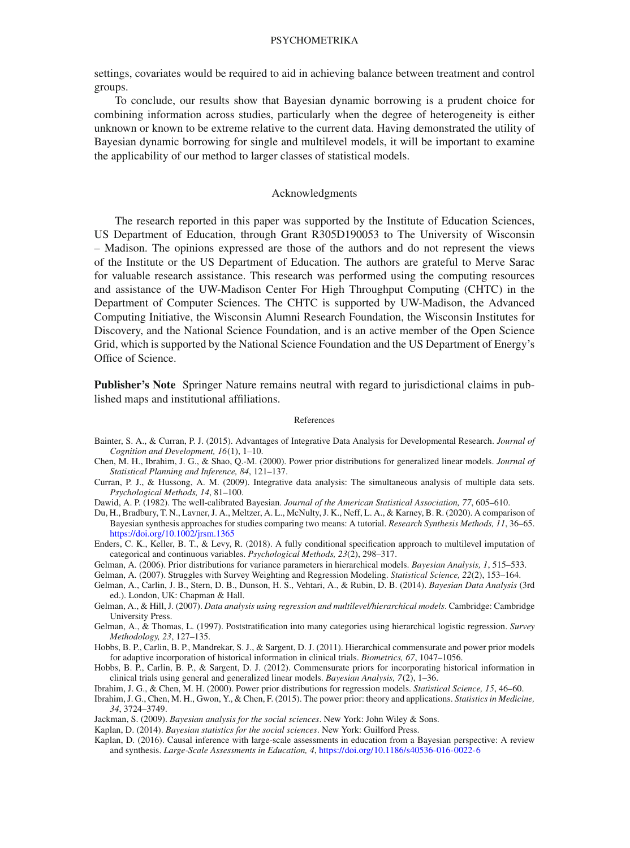settings, covariates would be required to aid in achieving balance between treatment and control groups.

To conclude, our results show that Bayesian dynamic borrowing is a prudent choice for combining information across studies, particularly when the degree of heterogeneity is either unknown or known to be extreme relative to the current data. Having demonstrated the utility of Bayesian dynamic borrowing for single and multilevel models, it will be important to examine the applicability of our method to larger classes of statistical models.

## Acknowledgments

The research reported in this paper was supported by the Institute of Education Sciences, US Department of Education, through Grant R305D190053 to The University of Wisconsin – Madison. The opinions expressed are those of the authors and do not represent the views of the Institute or the US Department of Education. The authors are grateful to Merve Sarac for valuable research assistance. This research was performed using the computing resources and assistance of the UW-Madison Center For High Throughput Computing (CHTC) in the Department of Computer Sciences. The CHTC is supported by UW-Madison, the Advanced Computing Initiative, the Wisconsin Alumni Research Foundation, the Wisconsin Institutes for Discovery, and the National Science Foundation, and is an active member of the Open Science Grid, which is supported by the National Science Foundation and the US Department of Energy's Office of Science.

**Publisher's Note** Springer Nature remains neutral with regard to jurisdictional claims in published maps and institutional affiliations.

#### References

- <span id="page-27-6"></span>Bainter, S. A., & Curran, P. J. (2015). Advantages of Integrative Data Analysis for Developmental Research. *Journal of Cognition and Development, 16*(1), 1–10.
- <span id="page-27-8"></span>Chen, M. H., Ibrahim, J. G., & Shao, Q.-M. (2000). Power prior distributions for generalized linear models. *Journal of Statistical Planning and Inference, 84*, 121–137.
- <span id="page-27-5"></span>Curran, P. J., & Hussong, A. M. (2009). Integrative data analysis: The simultaneous analysis of multiple data sets. *Psychological Methods, 14*, 81–100.
- <span id="page-27-15"></span>Dawid, A. P. (1982). The well-calibrated Bayesian. *Journal of the American Statistical Association, 77*, 605–610.
- <span id="page-27-10"></span>Du, H., Bradbury, T. N., Lavner, J. A., Meltzer, A. L., McNulty, J. K., Neff, L. A., & Karney, B. R. (2020). A comparison of Bayesian synthesis approaches for studies comparing two means: A tutorial. *Research Synthesis Methods, 11*, 36–65. <https://doi.org/10.1002/jrsm.1365>
- <span id="page-27-14"></span>Enders, C. K., Keller, B. T., & Levy, R. (2018). A fully conditional specification approach to multilevel imputation of categorical and continuous variables. *Psychological Methods, 23*(2), 298–317.
- <span id="page-27-11"></span>Gelman, A. (2006). Prior distributions for variance parameters in hierarchical models. *Bayesian Analysis, 1*, 515–533.
- <span id="page-27-16"></span>Gelman, A. (2007). Struggles with Survey Weighting and Regression Modeling. *Statistical Science, 22*(2), 153–164.
- <span id="page-27-0"></span>Gelman, A., Carlin, J. B., Stern, D. B., Dunson, H. S., Vehtari, A., & Rubin, D. B. (2014). *Bayesian Data Analysis* (3rd ed.). London, UK: Chapman & Hall.
- <span id="page-27-12"></span>Gelman, A., & Hill, J. (2007). *Data analysis using regression and multilevel/hierarchical models*. Cambridge: Cambridge University Press.
- <span id="page-27-17"></span>Gelman, A., & Thomas, L. (1997). Poststratification into many categories using hierarchical logistic regression. *Survey Methodology, 23*, 127–135.
- <span id="page-27-4"></span>Hobbs, B. P., Carlin, B. P., Mandrekar, S. J., & Sargent, D. J. (2011). Hierarchical commensurate and power prior models for adaptive incorporation of historical information in clinical trials. *Biometrics, 67*, 1047–1056.
- <span id="page-27-3"></span>Hobbs, B. P., Carlin, B. P., & Sargent, D. J. (2012). Commensurate priors for incorporating historical information in clinical trials using general and generalized linear models. *Bayesian Analysis, 7*(2), 1–36.
- <span id="page-27-7"></span>Ibrahim, J. G., & Chen, M. H. (2000). Power prior distributions for regression models. *Statistical Science, 15*, 46–60.
- <span id="page-27-9"></span>Ibrahim, J. G., Chen, M. H., Gwon, Y., & Chen, F. (2015). The power prior: theory and applications. *Statistics in Medicine, 34*, 3724–3749.
- <span id="page-27-13"></span>Jackman, S. (2009). *Bayesian analysis for the social sciences*. New York: John Wiley & Sons.
- <span id="page-27-1"></span>Kaplan, D. (2014). *Bayesian statistics for the social sciences*. New York: Guilford Press.
- <span id="page-27-2"></span>Kaplan, D. (2016). Causal inference with large-scale assessments in education from a Bayesian perspective: A review and synthesis. *Large-Scale Assessments in Education, 4*, <https://doi.org/10.1186/s40536-016-0022-6>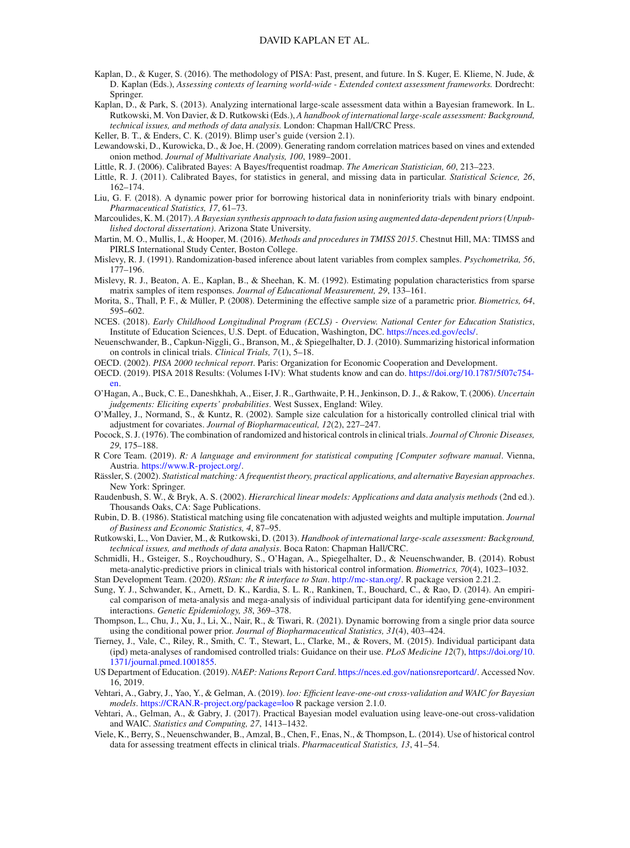- <span id="page-28-5"></span>Kaplan, D., & Kuger, S. (2016). The methodology of PISA: Past, present, and future. In S. Kuger, E. Klieme, N. Jude, & D. Kaplan (Eds.), *Assessing contexts of learning world-wide - Extended context assessment frameworks.* Dordrecht: Springer.
- <span id="page-28-7"></span>Kaplan, D., & Park, S. (2013). Analyzing international large-scale assessment data within a Bayesian framework. In L. Rutkowski, M. Von Davier, & D. Rutkowski (Eds.), *A handbook of international large-scale assessment: Background, technical issues, and methods of data analysis.* London: Chapman Hall/CRC Press.

<span id="page-28-22"></span>Keller, B. T., & Enders, C. K. (2019). Blimp user's guide (version 2.1).

- <span id="page-28-23"></span>Lewandowski, D., Kurowicka, D., & Joe, H. (2009). Generating random correlation matrices based on vines and extended onion method. *Journal of Multivariate Analysis, 100*, 1989–2001.
- <span id="page-28-28"></span>Little, R. J. (2006). Calibrated Bayes: A Bayes/frequentist roadmap. *The American Statistician, 60*, 213–223.
- <span id="page-28-29"></span>Little, R. J. (2011). Calibrated Bayes, for statistics in general, and missing data in particular. *Statistical Science, 26*, 162–174.
- <span id="page-28-18"></span>Liu, G. F. (2018). A dynamic power prior for borrowing historical data in noninferiority trials with binary endpoint. *Pharmaceutical Statistics, 17*, 61–73.
- <span id="page-28-17"></span>Marcoulides, K. M. (2017). *A Bayesian synthesis approach to data fusion using augmented data-dependent priors (Unpublished doctoral dissertation)*. Arizona State University.
- <span id="page-28-11"></span>Martin, M. O., Mullis, I., & Hooper, M. (2016). *Methods and procedures in TMISS 2015*. Chestnut Hill, MA: TIMSS and PIRLS International Study Center, Boston College.
- <span id="page-28-30"></span>Mislevy, R. J. (1991). Randomization-based inference about latent variables from complex samples. *Psychometrika, 56*, 177–196.
- <span id="page-28-31"></span>Mislevy, R. J., Beaton, A. E., Kaplan, B., & Sheehan, K. M. (1992). Estimating population characteristics from sparse matrix samples of item responses. *Journal of Educational Measurement, 29*, 133–161.
- <span id="page-28-24"></span>Morita, S., Thall, P. F., & Müller, P. (2008). Determining the effective sample size of a parametric prior. *Biometrics, 64*, 595–602.
- <span id="page-28-32"></span>NCES. (2018). *Early Childhood Longitudinal Program (ECLS) - Overview. National Center for Education Statistics*, Institute of Education Sciences, U.S. Dept. of Education, Washington, DC. [https://nces.ed.gov/ecls/.](https://nces.ed.gov/ecls/)
- <span id="page-28-25"></span>Neuenschwander, B., Capkun-Niggli, G., Branson, M., & Spiegelhalter, D. J. (2010). Summarizing historical information on controls in clinical trials. *Clinical Trials, 7*(1), 5–18.
- <span id="page-28-2"></span>OECD. (2002). *PISA 2000 technical report*. Paris: Organization for Economic Cooperation and Development.
- <span id="page-28-4"></span>OECD. (2019). PISA 2018 Results: (Volumes I-IV): What students know and can do. [https://doi.org/10.1787/5f07c754](https://doi.org/10.1787/5f07c754-en) [en.](https://doi.org/10.1787/5f07c754-en)
- <span id="page-28-0"></span>O'Hagan, A., Buck, C. E., Daneshkhah, A., Eiser, J. R., Garthwaite, P. H., Jenkinson, D. J., & Rakow, T. (2006). *Uncertain judgements: Eliciting experts' probabilities*. West Sussex, England: Wiley.
- <span id="page-28-8"></span>O'Malley, J., Normand, S., & Kuntz, R. (2002). Sample size calculation for a historically controlled clinical trial with adjustment for covariates. *Journal of Biopharmaceutical, 12*(2), 227–247.
- <span id="page-28-13"></span>Pocock, S. J. (1976). The combination of randomized and historical controls in clinical trials. *Journal of Chronic Diseases, 29*, 175–188.
- <span id="page-28-26"></span>R Core Team. (2019). *R: A language and environment for statistical computing [Computer software manual*. Vienna, Austria. [https://www.R-project.org/.](https://www.R-project.org/)
- <span id="page-28-20"></span>Rässler, S. (2002). *Statistical matching: A frequentist theory, practical applications, and alternative Bayesian approaches*. New York: Springer.
- <span id="page-28-6"></span>Raudenbush, S. W., & Bryk, A. S. (2002). *Hierarchical linear models: Applications and data analysis methods* (2nd ed.). Thousands Oaks, CA: Sage Publications.
- <span id="page-28-21"></span>Rubin, D. B. (1986). Statistical matching using file concatenation with adjusted weights and multiple imputation. *Journal of Business and Economic Statistics, 4*, 87–95.
- <span id="page-28-1"></span>Rutkowski, L., Von Davier, M., & Rutkowski, D. (2013). *Handbook of international large-scale assessment: Background, technical issues, and methods of data analysis*. Boca Raton: Chapman Hall/CRC.
- <span id="page-28-14"></span>Schmidli, H., Gsteiger, S., Roychoudhury, S., O'Hagan, A., Spiegelhalter, D., & Neuenschwander, B. (2014). Robust meta-analytic-predictive priors in clinical trials with historical control information. *Biometrics, 70*(4), 1023–1032.
- <span id="page-28-27"></span>Stan Development Team. (2020). *RStan: the R interface to Stan*. [http://mc-stan.org/.](http://mc-stan.org/) R package version 2.21.2.
- <span id="page-28-15"></span>Sung, Y. J., Schwander, K., Arnett, D. K., Kardia, S. L. R., Rankinen, T., Bouchard, C., & Rao, D. (2014). An empirical comparison of meta-analysis and mega-analysis of individual participant data for identifying gene-environment interactions. *Genetic Epidemiology, 38*, 369–378.
- <span id="page-28-19"></span>Thompson, L., Chu, J., Xu, J., Li, X., Nair, R., & Tiwari, R. (2021). Dynamic borrowing from a single prior data source using the conditional power prior. *Journal of Biopharmaceutical Statistics, 31*(4), 403–424.
- <span id="page-28-16"></span>Tierney, J., Vale, C., Riley, R., Smith, C. T., Stewart, L., Clarke, M., & Rovers, M. (2015). Individual participant data (ipd) meta-analyses of randomised controlled trials: Guidance on their use. *PLoS Medicine 12*(7), [https://doi.org/10.](https://doi.org/10.1371/journal.pmed.1001855) [1371/journal.pmed.1001855.](https://doi.org/10.1371/journal.pmed.1001855)
- <span id="page-28-12"></span>US Department of Education. (2019). *NAEP: Nations Report Card*. [https://nces.ed.gov/nationsreportcard/.](https://nces.ed.gov/nationsreportcard/) Accessed Nov. 16, 2019.
- <span id="page-28-10"></span>Vehtari, A., Gabry, J., Yao, Y., & Gelman, A. (2019). *loo: Efficient leave-one-out cross-validation and WAIC for Bayesian models*. <https://CRAN.R-project.org/package=loo> R package version 2.1.0.
- <span id="page-28-9"></span>Vehtari, A., Gelman, A., & Gabry, J. (2017). Practical Bayesian model evaluation using leave-one-out cross-validation and WAIC. *Statistics and Computing, 27*, 1413–1432.
- <span id="page-28-3"></span>Viele, K., Berry, S., Neuenschwander, B., Amzal, B., Chen, F., Enas, N., & Thompson, L. (2014). Use of historical control data for assessing treatment effects in clinical trials. *Pharmaceutical Statistics, 13*, 41–54.